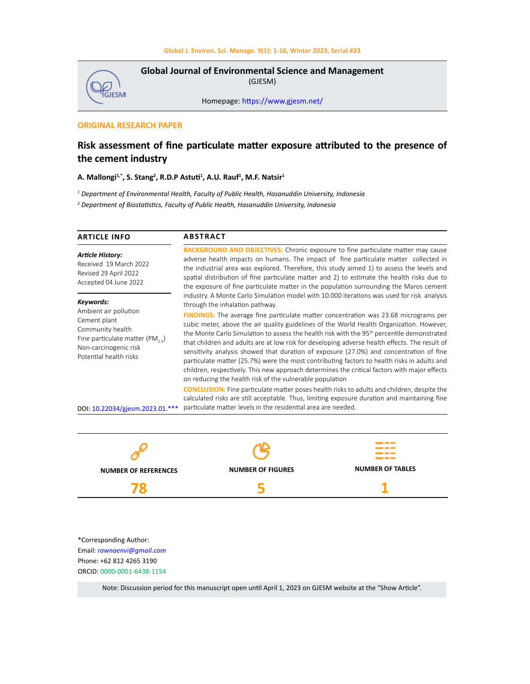

**Global Journal of Environmental Science and Management**  (GJESM)

Homepage: [https://www.gjesm.net/](https://www.gjesm.net/ )

# **ORIGINAL RESEARCH PAPER**

# **Risk assessment of fine particulate matter exposure attributed to the presence of the cement industry**

# **A. Mallongi1,\*, S. Stang2 , R.D.P Astuti<sup>1</sup> , A.U. Rauf1 , M.F. Natsir1**

*1 Department of Environmental Health, Faculty of Public Health, Hasanuddin University, Indonesia*

*2 Department of Biostatistics, Faculty of Public Health, Hasanuddin University, Indonesia*

| <b>ARTICLE INFO</b>                                                                                                                                                                             | <b>ABSTRACT</b>                                                                                                                                                                                                                                                                                                                                                                                                                                                                                                                                                                                                                                                                                                                                                                                                                                                                                                                                                                                                                                                                                                                                                                                                                                                                                                                                                   |  |
|-------------------------------------------------------------------------------------------------------------------------------------------------------------------------------------------------|-------------------------------------------------------------------------------------------------------------------------------------------------------------------------------------------------------------------------------------------------------------------------------------------------------------------------------------------------------------------------------------------------------------------------------------------------------------------------------------------------------------------------------------------------------------------------------------------------------------------------------------------------------------------------------------------------------------------------------------------------------------------------------------------------------------------------------------------------------------------------------------------------------------------------------------------------------------------------------------------------------------------------------------------------------------------------------------------------------------------------------------------------------------------------------------------------------------------------------------------------------------------------------------------------------------------------------------------------------------------|--|
| <b>Article History:</b><br>Received 19 March 2022<br>Revised 29 April 2022<br>Accepted 04 June 2022                                                                                             | <b>BACKGROUND AND OBJECTIVES:</b> Chronic exposure to fine particulate matter may cause<br>adverse health impacts on humans. The impact of fine particulate matter collected in<br>the industrial area was explored. Therefore, this study aimed 1) to assess the levels and<br>spatial distribution of fine particulate matter and 2) to estimate the health risks due to<br>the exposure of fine particulate matter in the population surrounding the Maros cement<br>industry. A Monte Carlo Simulation model with 10.000 iterations was used for risk analysis<br>through the inhalation pathway.<br><b>FINDINGS:</b> The average fine particulate matter concentration was 23.68 micrograms per<br>cubic meter, above the air quality guidelines of the World Health Organization. However,<br>the Monte Carlo Simulation to assess the health risk with the 95 <sup>th</sup> percentile demonstrated<br>that children and adults are at low risk for developing adverse health effects. The result of<br>sensitivity analysis showed that duration of exposure (27.0%) and concentration of fine<br>particulate matter (25.7%) were the most contributing factors to health risks in adults and<br>children, respectively. This new approach determines the critical factors with major effects<br>on reducing the health risk of the vulnerable population |  |
| Keywords:<br>Ambient air pollution<br>Cement plant<br>Community health<br>Fine particulate matter (PM, .)<br>Non-carcinogenic risk<br>Potential health risks<br>DOI: 10.22034/gjesm.2023.01.*** |                                                                                                                                                                                                                                                                                                                                                                                                                                                                                                                                                                                                                                                                                                                                                                                                                                                                                                                                                                                                                                                                                                                                                                                                                                                                                                                                                                   |  |
|                                                                                                                                                                                                 | <b>CONCLUSION:</b> Fine particulate matter poses health risks to adults and children, despite the<br>calculated risks are still acceptable. Thus, limiting exposure duration and maintaining fine<br>particulate matter levels in the residential area are needed.                                                                                                                                                                                                                                                                                                                                                                                                                                                                                                                                                                                                                                                                                                                                                                                                                                                                                                                                                                                                                                                                                                |  |



\*Corresponding Author: Email: *rawnaenvi@gmail.com* Phone: +62 812 4265 3190 ORCID: 0000-0001-6438-1154

Note: Discussion period for this manuscript open until April 1, 2023 on GJESM website at the "Show Article".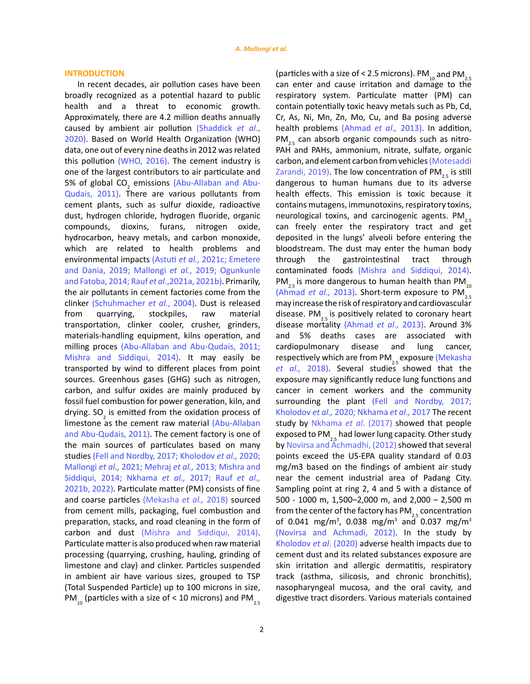### **INTRODUCTION**

In recent decades, air pollution cases have been broadly recognized as a potential hazard to public health and a threat to economic growth. Approximately, there are 4.2 million deaths annually caused by ambient air pollution [\(Shaddick](#page-14-0) *et al*., [2020\)](#page-14-0). Based on World Health Organization (WHO) data, one out of every nine deaths in 2012 was related this pollution [\(WHO, 2016\)](#page-14-0). The cement industry is one of the largest contributors to air particulate and 5% of global  $CO_2$  emissions [\(Abu-Allaban and Abu-](#page-12-0)[Qudais, 2011\)](#page-12-0). There are various pollutants from cement plants, such as sulfur dioxide, radioactive dust, hydrogen chloride, hydrogen fluoride, organic compounds, dioxins, furans, nitrogen oxide, hydrocarbon, heavy metals, and carbon monoxide, which are related to health problems and environmental impacts (Astuti *et al.,* [2021c; Emetere](#page-13-0)  [and Dania, 2019;](#page-13-0) Mallongi *et al.*[, 2019; Ogunkunle](#page-13-0)  [and Fatoba, 2014;](#page-13-0) Rauf *et al*[.,2021a, 2021b\)](#page-14-0). Primarily, the air pollutants in cement factories come from the clinker [\(Schuhmacher](#page-14-0) *et al.*, 2004). Dust is released from quarrying, stockpiles, raw material transportation, clinker cooler, crusher, grinders, materials-handling equipment, kilns operation, and milling proces [\(Abu-Allaban and Abu-Qudais, 2011;](#page-12-0)  [Mishra and Siddiqui, 2014\).](#page-13-0) It may easily be transported by wind to different places from point sources. Greenhous gases (GHG) such as nitrogen, carbon, and sulfur oxides are mainly produced by fossil fuel combustion for power generation, kiln, and drying. SO<sub>2</sub> is emitted from the oxidation process of limestone as the cement raw material [\(Abu-Allaban](#page-12-0)  [and Abu-Qudais, 2011\)](#page-12-0). The cement factory is one of the main sources of particulates based on many studies [\(Fell and Nordby, 2017;](#page-12-0) [Kholodov](#page-13-0) *et al.,* 2020; Mallongi *et al.,* 2021; Mehraj *et al.,* [2013; Mishra and](#page-13-0)  [Siddiqui, 2014; Nkhama](#page-13-0) *et al.,* 2017; Rauf *[et al.,](#page-14-0)* [2021b, 2022\).](#page-14-0) Particulate matter (PM) consists of fine and coarse particles [\(Mekasha](#page-13-0) *et al.,* 2018) sourced from cement mills, packaging, fuel combustion and preparation, stacks, and road cleaning in the form of carbon and dust [\(Mishra and Siddiqui, 2014\)](#page-13-0). Particulate matter is also produced when raw material processing (quarrying, crushing, hauling, grinding of limestone and clay) and clinker. Particles suspended in ambient air have various sizes, grouped to TSP (Total Suspended Particle) up to 100 microns in size, PM<sub>10</sub> (particles with a size of < 10 microns) and PM<sub>2.5</sub> (particles with a size of < 2.5 microns). PM<sub>10</sub> and PM<sub>2.5</sub> can enter and cause irritation and damage to the respiratory system. Particulate matter (PM) can contain potentially toxic heavy metals such as Pb, Cd, Cr, As, Ni, Mn, Zn, Mo, Cu, and Ba posing adverse health problems [\(Ahmad](#page-12-0) *et al.,* 2013). In addition,  $PM_{25}$  can absorb organic compounds such as nitro-PAH and PAHs, ammonium, nitrate, sulfate, organic carbon, and element carbon from vehicles [\(Motesaddi](#page-13-0) [Zarandi, 2019\)](#page-13-0). The low concentration of  $PM_{25}$  is still dangerous to human humans due to its adverse health effects. This emission is toxic because it contains mutagens, immunotoxins, respiratory toxins, neurological toxins, and carcinogenic agents.  $PM_{2.5}$ can freely enter the respiratory tract and get deposited in the lungs' alveoli before entering the bloodstream. The dust may enter the human body through the gastrointestinal tract through contaminated foods [\(Mishra and Siddiqui, 2014\).](#page-13-0) PM<sub>2.5</sub> is more dangerous to human health than PM<sub>10</sub> [\(Ahmad](#page-12-0) *et al.,* 2013). Short-term exposure to PM $\frac{25}{25}$ may increase the risk of respiratory and cardiovascular disease. PM<sub>2.5</sub> is positively related to coronary heart disease mortality [\(Ahmad](#page-12-0) *et al.,* 2013). Around 3% and 5% deaths cases are associated with cardiopulmonary disease and lung cancer, respectively which are from PM<sub>2.</sub> exposure [\(Mekasha](#page-13-0) et al., [2018\)](#page-13-0). Several studies showed that the exposure may significantly reduce lung functions and cancer in cement workers and the community surrounding the plant [\(Fell and Nordby, 2017;](#page-12-0) Kholodov *et al.,* [2020; Nkhama](#page-13-0) *et al.,* 2017 The recent study by [Nkhama](#page-13-0) *et al*. (2017) showed that people exposed to PM<sub>2.5</sub> had lower lung capacity. Other study by [Novirsa and Achmadhi, \(2012\)](#page-13-0) showed that several points exceed the US-EPA quality standard of 0.03 mg/m3 based on the findings of ambient air study near the cement industrial area of Padang City. Sampling point at ring 2, 4 and 5 with a distance of 500 - 1000 m, 1,500–2,000 m, and 2,000 – 2,500 m from the center of the factory has  $PM_{25}$  concentration of 0.041 mg/m<sup>3</sup>, 0.038 mg/m<sup>3</sup> and 0.037 mg/m<sup>3</sup> [\(Novirsa and Achmadi, 2012\).](#page-13-0) In the study by [Kholodov](#page-13-0) *et al*. (2020) adverse health impacts due to cement dust and its related substances exposure are skin irritation and allergic dermatitis, respiratory track (asthma, silicosis, and chronic bronchitis), nasopharyngeal mucosa, and the oral cavity, and digestive tract disorders. Various materials contained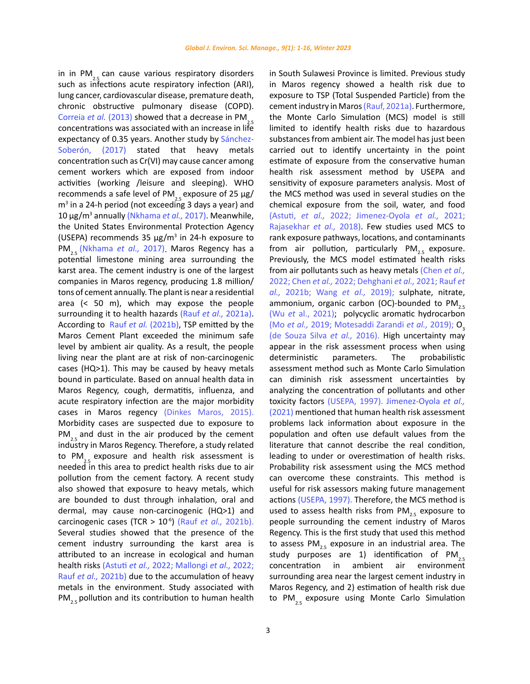in in PM<sub>2.</sub> can cause various respiratory disorders such as infections acute respiratory infection (ARI), lung cancer, cardiovascular disease, premature death, chronic obstructive pulmonary disease (COPD). [Correia](#page-12-0) *et al.* (2013) showed that a decrease in PM<sub>2</sub>. concentrations was associated with an increase in life expectancy of 0.35 years. Another study by [Sánchez-](#page-14-0)[Soberón, \(2017\)](#page-14-0) stated that heavy metals concentration such as Cr(VI) may cause cancer among cement workers which are exposed from indoor activities (working /leisure and sleeping). WHO recommends a safe level of PM<sub>2.</sub> exposure of 25 μg/  $m<sup>3</sup>$  in a 24-h period (not exceeding 3 days a year) and 10 μg/m<sup>3</sup> annually [\(Nkhama](#page-13-0) *et al.,* 2017). Meanwhile, the United States Environmental Protection Agency (USEPA) recommends 35 μg/m<sup>3</sup> in 24-h exposure to PM<sub>2</sub>. [\(Nkhama](#page-13-0) *et al.,* 2017). Maros Regency has a potential limestone mining area surrounding the karst area. The cement industry is one of the largest companies in Maros regency, producing 1.8 million/ tons of cement annually. The plant is near a residential area (< 50 m), which may expose the people surrounding it to health hazards (Rauf *et al.,* [2021a\)](#page-14-0). According to Rauf *et al.* [\(2021b\)](#page-14-0), TSP emitted by the Maros Cement Plant exceeded the minimum safe level by ambient air quality. As a result, the people living near the plant are at risk of non-carcinogenic cases (HQ>1). This may be caused by heavy metals bound in particulate. Based on annual health data in Maros Regency, cough, dermatitis, influenza, and acute respiratory infection are the major morbidity cases in Maros regency [\(Dinkes Maros, 2015\).](#page-12-0)  Morbidity cases are suspected due to exposure to  $PM_{2}$  and dust in the air produced by the cement industry in Maros Regency. Therefore, a study related to  $PM_{2}$  exposure and health risk assessment is needed in this area to predict health risks due to air pollution from the cement factory. A recent study also showed that exposure to heavy metals, which are bounded to dust through inhalation, oral and dermal, may cause non-carcinogenic (HQ>1) and carcinogenic cases (TCR > 10-6) (Rauf *et al.,* [2021b\).](#page-14-0) Several studies showed that the presence of the cement industry surrounding the karst area is attributed to an increase in ecological and human health risks [\(Astuti](#page-12-0) *et al.,* 2022; [Mallongi](#page-13-0) *et al.,* 2022; Rauf *et al.,* [2021b\)](#page-14-0) due to the accumulation of heavy metals in the environment. Study associated with  $PM_{2.5}$  pollution and its contribution to human health

in South Sulawesi Province is limited. Previous study in Maros regency showed a health risk due to exposure to TSP (Total Suspended Particle) from the cement industry in Maros [\(Rauf, 2021a](#page-14-0)). Furthermore, the Monte Carlo Simulation (MCS) model is still limited to identify health risks due to hazardous substances from ambient air. The model has just been carried out to identify uncertainty in the point estimate of exposure from the conservative human health risk assessment method by USEPA and sensitivity of exposure parameters analysis. Most of the MCS method was used in several studies on the chemical exposure from the soil, water, and food [\(Astuti,](#page-12-0) *et al.,* 2022; [Jimenez-Oyola](#page-12-0) *et al.,* 2021; [Rajasekhar](#page-14-0) *et al.,* 2018). Few studies used MCS to rank exposure pathways, locations, and contaminants from air pollution, particularly PM<sub>2.5</sub> exposure. Previously, the MCS model estimated health risks from air pollutants such as heavy metals [\(Chen](#page-12-0) *et al.,*  2022; Chen *et al.,* [2022; Dehghani](#page-12-0) *et al.,* 2021; [Rauf](#page-14-0) *et al.,* [2021b; Wang](#page-14-0) *et al.,* 2019); sulphate, nitrate, ammonium, organic carbon (OC)-bounded to  $PM_{2.5}$ (Wu *et* [al., 2021\);](#page-14-0) polycyclic aromatic hydrocarbon (Mo *et al.,* [2019; Motesaddi Zarandi](#page-13-0) *et al.,* 2019); O<sub>2</sub> [\(de Souza Silva](#page-12-0) *et al.,* 2016). High uncertainty may appear in the risk assessment process when using deterministic parameters. The probabilistic assessment method such as Monte Carlo Simulation can diminish risk assessment uncertainties by analyzing the concentration of pollutants and other toxicity factors [\(USEPA, 1997\).](#page-14-0) [Jimenez-Oyola](#page-13-0) *et al.,*  [\(2021\)](#page-13-0) mentioned that human health risk assessment problems lack information about exposure in the population and often use default values from the literature that cannot describe the real condition, leading to under or overestimation of health risks. Probability risk assessment using the MCS method can overcome these constraints. This method is useful for risk assessors making future management actions [\(USEPA, 1997\)](#page-14-0). Therefore, the MCS method is used to assess health risks from  $PM_{25}$  exposure to people surrounding the cement industry of Maros Regency. This is the first study that used this method to assess  $PM_{2.5}$  exposure in an industrial area. The study purposes are 1) identification of  $PM_{2.5}$ <br>concentration in ambient air environment concentration in ambient surrounding area near the largest cement industry in Maros Regency, and 2) estimation of health risk due to PM<sub>2.5</sub> exposure using Monte Carlo Simulation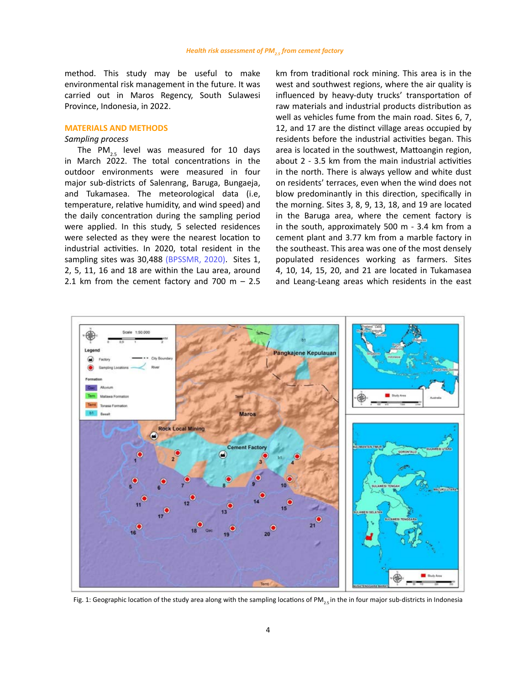method. This study may be useful to make environmental risk management in the future. It was carried out in Maros Regency, South Sulawesi Province, Indonesia, in 2022.

#### **MATERIALS AND METHODS**

# *Sampling process*

The PM<sub>2.5</sub> level was measured for 10 days in March 2022. The total concentrations in the outdoor environments were measured in four major sub-districts of Salenrang, Baruga, Bungaeja, and Tukamasea. The meteorological data (i.e, temperature, relative humidity, and wind speed) and the daily concentration during the sampling period were applied. In this study, 5 selected residences were selected as they were the nearest location to industrial activities. In 2020, total resident in the sampling sites was 30,488 [\(BPSSMR, 2020\)](#page-12-0). Sites 1, 2, 5, 11, 16 and 18 are within the Lau area, around 2.1 km from the cement factory and 700 m  $-$  2.5 km from traditional rock mining. This area is in the west and southwest regions, where the air quality is influenced by heavy-duty trucks' transportation of raw materials and industrial products distribution as well as vehicles fume from the main road. Sites 6, 7, 12, and 17 are the distinct village areas occupied by residents before the industrial activities began. This area is located in the southwest, Mattoangin region, about 2 - 3.5 km from the main industrial activities in the north. There is always yellow and white dust on residents' terraces, even when the wind does not blow predominantly in this direction, specifically in the morning. Sites 3, 8, 9, 13, 18, and 19 are located in the Baruga area, where the cement factory is in the south, approximately 500 m - 3.4 km from a cement plant and 3.77 km from a marble factory in the southeast. This area was one of the most densely populated residences working as farmers. Sites 4, 10, 14, 15, 20, and 21 are located in Tukamasea and Leang-Leang areas which residents in the east

<span id="page-3-0"></span>

Fig. 1: Geographic location of the study area along with the sampling locations of PM<sub>2</sub>, in the in four major sub-districts in Indonesia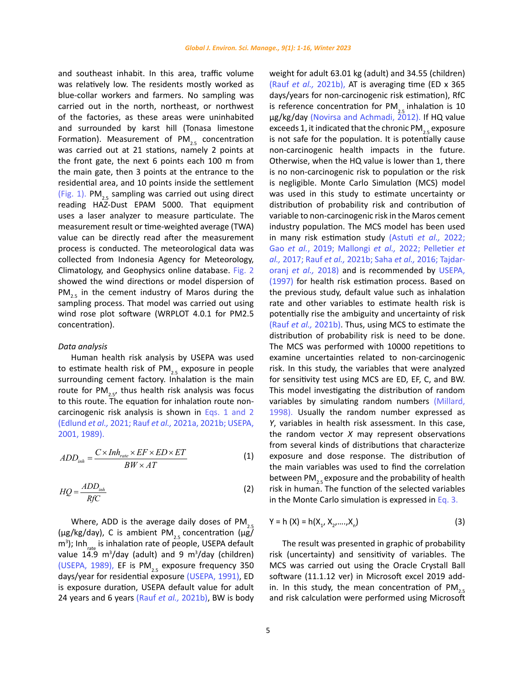and southeast inhabit. In this area, traffic volume was relatively low. The residents mostly worked as blue-collar workers and farmers. No sampling was carried out in the north, northeast, or northwest of the factories, as these areas were uninhabited and surrounded by karst hill (Tonasa limestone Formation). Measurement of PM<sub>2.5</sub> concentration was carried out at 21 stations, namely 2 points at the front gate, the next 6 points each 100 m from the main gate, then 3 points at the entrance to the residential area, and 10 points inside the settlement ([Fig. 1](#page-3-0)). PM<sub>25</sub> sampling was carried out using direct reading HAZ-Dust EPAM 5000. That equipment uses a laser analyzer to measure particulate. The measurement result or time-weighted average (TWA) value can be directly read after the measurement process is conducted. The meteorological data was collected from Indonesia Agency for Meteorology, Climatology, and Geophysics online database. [Fig. 2](#page-5-0)  showed the wind directions or model dispersion of  $PM_{2.5}$  in the cement industry of Maros during the sampling process. That model was carried out using wind rose plot software (WRPLOT 4.0.1 for PM2.5 concentration).

### *Data analysis*

Human health risk analysis by USEPA was used to estimate health risk of  $PM_{2.5}$  exposure in people surrounding cement factory. Inhalation is the main route for  $PM_{2.5}$ , thus health risk analysis was focus to this route. The equation for inhalation route noncarcinogenic risk analysis is shown in Eqs. 1 and 2 [\(Edlund](#page-12-0) *et al.,* 2021; Rauf *et al.,* [2021a, 2021b; USEPA,](#page-14-0)  [2001, 1989\).](#page-14-0)

$$
ADD_{inh} = \frac{C \times Inh_{rate} \times EF \times ED \times ET}{BW \times AT}
$$
 (1)

$$
HQ = \frac{ADD_{inh}}{RfC}
$$
 (2)

Where, ADD is the average daily doses of  $PM<sub>2</sub>$ (μg/kg/day), C is ambient  $PM_{2.5}$  concentration (μg/ m<sup>3</sup>); Inh<sub>rate</sub> is inhalation rate of people, USEPA default value 14.9  $m^3$ /day (adult) and 9  $m^3$ /day (children) [\(USEPA, 1989\),](#page-14-0) EF is  $PM_{25}$  exposure frequency 350 days/year for residential exposure [\(USEPA, 1991\)](#page-14-0), ED is exposure duration, USEPA default value for adult 24 years and 6 years (Rauf *et al.,* [2021b\),](#page-14-0) BW is body

weight for adult 63.01 kg (adult) and 34.55 (children) (Rauf *et al.,* [2021b\)](#page-14-0), AT is averaging time (ED x 365 days/years for non-carcinogenic risk estimation), RfC is reference concentration for  $PM_{25}$  inhalation is 10 μg/kg/day [\(Novirsa and Achmadi, 2012\)](#page-13-0). If HQ value exceeds 1, it indicated that the chronic  $PM_{25}$  exposure is not safe for the population. It is potentially cause non-carcinogenic health impacts in the future. Otherwise, when the HQ value is lower than 1, there is no non-carcinogenic risk to population or the risk is negligible. Monte Carlo Simulation (MCS) model was used in this study to estimate uncertainty or distribution of probability risk and contribution of variable to non-carcinogenic risk in the Maros cement industry population. The MCS model has been used in many risk estimation study [\(Astuti](#page-12-0) *et al.,* 2022; Gao *et al.*[, 2019;](#page-12-0) [Mallongi](#page-13-0) *et al.,* 2022; [Pelletier](#page-14-0) *et al.,* 2017; Rauf *et al.,* 2021b; Saha *et al.,* [2016; Tajdar](#page-14-0)oranj *et al.,* [2018\)](#page-14-0) and is recommended by [USEPA,](#page-14-0) [\(1997\)](#page-14-0) for health risk estimation process. Based on the previous study, default value such as inhalation rate and other variables to estimate health risk is potentially rise the ambiguity and uncertainty of risk (Rauf *et al.,* [2021b\).](#page-14-0) Thus, using MCS to estimate the distribution of probability risk is need to be done. The MCS was performed with 10000 repetitions to examine uncertainties related to non-carcinogenic risk. In this study, the variables that were analyzed for sensitivity test using MCS are ED, EF, C, and BW. This model investigating the distribution of random variables by simulating random numbers [\(Millard,](#page-13-0) [1998\).](#page-13-0) Usually the random number expressed as *Y*, variables in health risk assessment. In this case, the random vector *X* may represent observations from several kinds of distributions that characterize exposure and dose response. The distribution of the main variables was used to find the correlation between PM<sub>25</sub> exposure and the probability of health risk in human. The function of the selected variables in the Monte Carlo simulation is expressed in Eq. 3.

$$
Y = h(X) = h(X_1, X_2, ..., X_n)
$$
 (3)

The result was presented in graphic of probability risk (uncertainty) and sensitivity of variables. The MCS was carried out using the Oracle Crystall Ball software (11.1.12 ver) in Microsoft excel 2019 addin. In this study, the mean concentration of  $PM_{2.5}$ and risk calculation were performed using Microsoft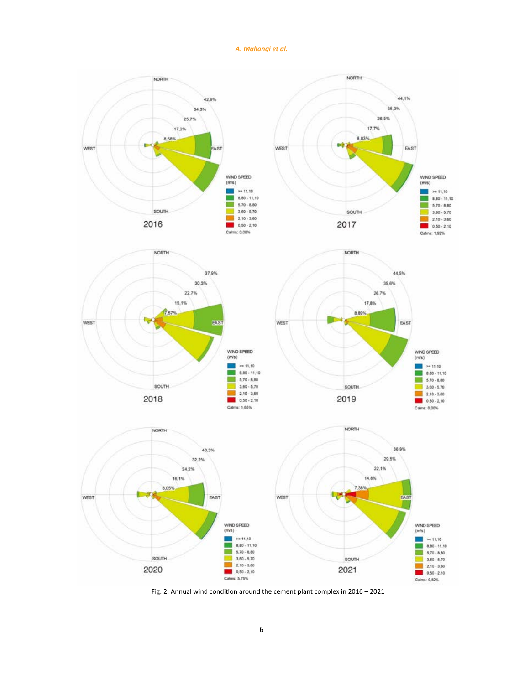# *A. Mallongi et al.*

<span id="page-5-0"></span>

Fig. 2: Annual wind condition around the cement plant complex in 2016 – 2021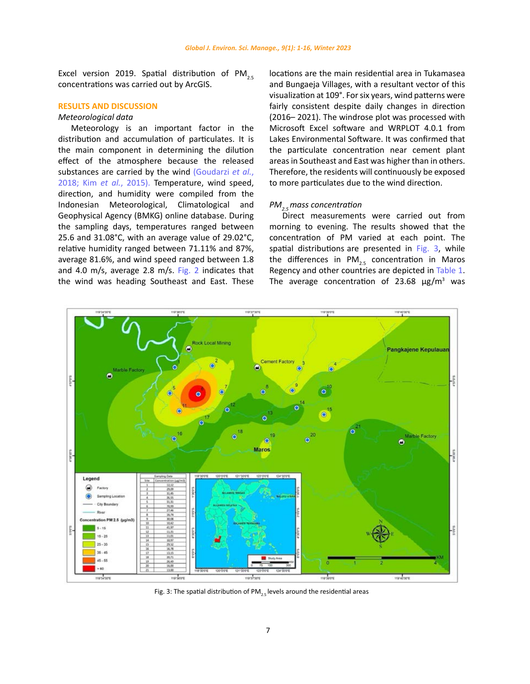Excel version 2019. Spatial distribution of PM<sub>2.5</sub> concentrations was carried out by ArcGIS.

### **RESULTS AND DISCUSSION**

### *Meteorological data*

Meteorology is an important factor in the distribution and accumulation of particulates. It is the main component in determining the dilution effect of the atmosphere because the released substances are carried by the wind [\(Goudarzi](#page-12-0) *et al.*, [2018; K](#page-12-0)im *et al.*[, 2015\)](#page-13-0). Temperature, wind speed, direction, and humidity were compiled from the Indonesian Meteorological, Climatological and Geophysical Agency (BMKG) online database. During the sampling days, temperatures ranged between 25.6 and 31.08°C, with an average value of 29.02°C, relative humidity ranged between 71.11% and 87%, average 81.6%, and wind speed ranged between 1.8 and 4.0 m/s, average 2.8 m/s. [Fig. 2](#page-5-0) indicates that the wind was heading Southeast and East. These locations are the main residential area in Tukamasea and Bungaeja Villages, with a resultant vector of this visualization at 109°. For six years, wind patterns were fairly consistent despite daily changes in direction (2016– 2021). The windrose plot was processed with Microsoft Excel software and WRPLOT 4.0.1 from Lakes Environmental Software. It was confirmed that the particulate concentration near cement plant areas in Southeast and East was higher than in others. Therefore, the residents will continuously be exposed to more particulates due to the wind direction.

# *PM2.5 mass concentration*

Direct measurements were carried out from morning to evening. The results showed that the concentration of PM varied at each point. The spatial distributions are presented in [Fig. 3,](#page-6-0) while the differences in  $PM_{2.5}$  concentration in Maros Regency and other countries are depicted in Table 1. The average concentration of 23.68  $\mu$ g/m<sup>3</sup> was

<span id="page-6-0"></span>

Fig. 3: The spatial distribution of PM<sub>2.5</sub> levels around the residential areas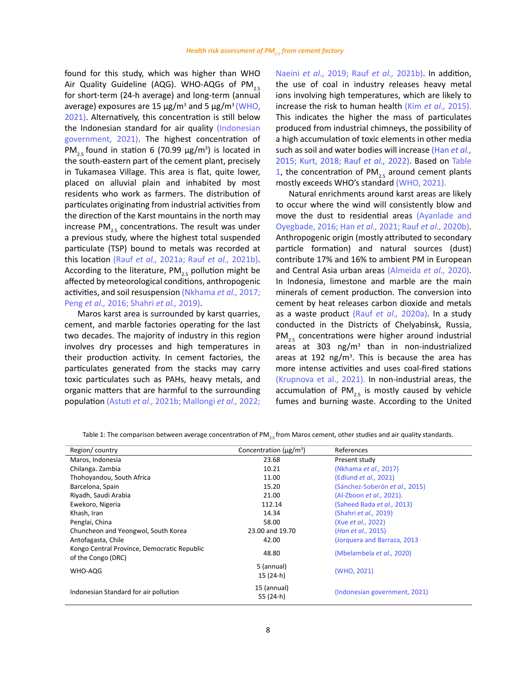found for this study, which was higher than WHO Air Quality Guideline (AQG). WHO-AQGs of PM<sub>2.5</sub> for short-term (24-h average) and long-term (annual average) exposures are 15  $\mu$ g/m<sup>3</sup> and 5  $\mu$ g/m<sup>3</sup> (WHO, [2021\)](#page-14-0). Alternatively, this concentration is still below the Indonesian standard for air quality [\(Indonesian](#page-13-0)  [government, 2021\).](#page-13-0) The highest concentration of  $PM_{2.5}$  found in station 6 (70.99  $\mu$ g/m<sup>3</sup>) is located in the south-eastern part of the cement plant, precisely in Tukamasea Village. This area is flat, quite lower, placed on alluvial plain and inhabited by most residents who work as farmers. The distribution of particulates originating from industrial activities from the direction of the Karst mountains in the north may increase  $PM_{25}$  concentrations. The result was under a previous study, where the highest total suspended particulate (TSP) bound to metals was recorded at this location (Rauf *et al.,* [2021a; Rauf](#page-14-0) *et al.,* 2021b). According to the literature,  $PM_{2.5}$  pollution might be affected by meteorological conditions, anthropogenic activities, and soil resuspension [\(Nkhama](#page-13-0) *et al.,* 2017; Peng *et al.,* [2016; Shahri](#page-14-0) *et al.,* 2019).

Maros karst area is surrounded by karst quarries, cement, and marble factories operating for the last two decades. The majority of industry in this region involves dry processes and high temperatures in their production activity. In cement factories, the particulates generated from the stacks may carry toxic particulates such as PAHs, heavy metals, and organic matters that are harmful to the surrounding population [\(Astuti](#page-12-0) *et al.,* 2021b; [Mallongi](#page-14-0) *et al.,* 2022; [Naeini](#page-13-0) *et al.,* 2019; Rauf *et al.,* [2021b\).](#page-14-0) In addition, the use of coal in industry releases heavy metal ions involving high temperatures, which are likely to increase the risk to human health (Kim *et al.,* [2015\).](#page-13-0) This indicates the higher the mass of particulates produced from industrial chimneys, the possibility of a high accumulation of toxic elements in other media such as soil and water bodies will increase (Han *[et al.,](#page-13-0)*  [2015; Kurt, 2018;](#page-13-0) Rauf *[et al.,](#page-14-0)* 2022). Based on Table 1, the concentration of  $PM_{2r}$  around cement plants mostly exceeds WHO's standar[d \(WHO, 2021\).](#page-14-0) 

Natural enrichments around karst areas are likely to occur where the wind will consistently blow and move the dust to residential areas [\(Ayanlade and](#page-12-0) [Oyegbade, 2016; Han](#page-12-0) *et al.,* 2021; Rauf *et al.,* [2020b\).](#page-14-0) Anthropogenic origin (mostly attributed to secondary particle formation) and natural sources (dust) contribute 17% and 16% to ambient PM in European and Central Asia urban areas [\(Almeida](#page-12-0) *et al.,* 2020). In Indonesia, limestone and marble are the main minerals of cement production. The conversion into cement by heat releases carbon dioxide and metals as a waste product (Rauf *et al.,* [2020a\)](#page-14-0). In a study conducted in the Districts of Chelyabinsk, Russia, PM<sub>2.5</sub> concentrations were higher around industrial areas at 303  $\text{ng/m}^3$  than in non-industrialized areas at 192 ng/ $m<sup>3</sup>$ . This is because the area has more intense activities and uses coal-fired stations [\(Krupnova et al., 2021\).](#page-13-0) In non-industrial areas, the accumulation of PM<sub>2.5</sub> is mostly caused by vehicle fumes and burning waste. According to the United

| Region/country                                                    | Concentration ( $\mu$ g/m <sup>3</sup> ) | References                      |
|-------------------------------------------------------------------|------------------------------------------|---------------------------------|
| Maros, Indonesia                                                  | 23.68                                    | Present study                   |
| Chilanga. Zambia                                                  | 10.21                                    | (Nkhama et al., 2017)           |
| Thohoyandou, South Africa                                         | 11.00                                    | (Edlund et al., 2021)           |
| Barcelona, Spain                                                  | 15.20                                    | (Sánchez-Soberón et al., 2015)  |
| Riyadh, Saudi Arabia                                              | 21.00                                    | (Al-Zboon <i>et al.,</i> 2021). |
| Ewekoro, Nigeria                                                  | 112.14                                   | (Saheed Bada et al., 2013)      |
| Khash, Iran                                                       | 14.34                                    | (Shahri et al., 2019)           |
| Penglai, China                                                    | 58.00                                    | (Xue et al., 2022)              |
| Chuncheon and Yeongwol, South Korea                               | 23.00 and 19.70                          | (Han et al., 2015)              |
| Antofagasta, Chile                                                | 42.00                                    | (Jorquera and Barraza, 2013)    |
| Kongo Central Province, Democratic Republic<br>of the Congo (DRC) | 48.80                                    | (Mbelambela et al., 2020)       |
| WHO-AQG                                                           | 5 (annual)<br>15 (24-h)                  | (WHO, 2021)                     |
| Indonesian Standard for air pollution                             | 15 (annual)<br>55 (24-h)                 | (Indonesian government, 2021)   |

Table 1: The comparison between average concentration of PM<sub>2.5</sub> from Maros cement, other studies and air quality standards.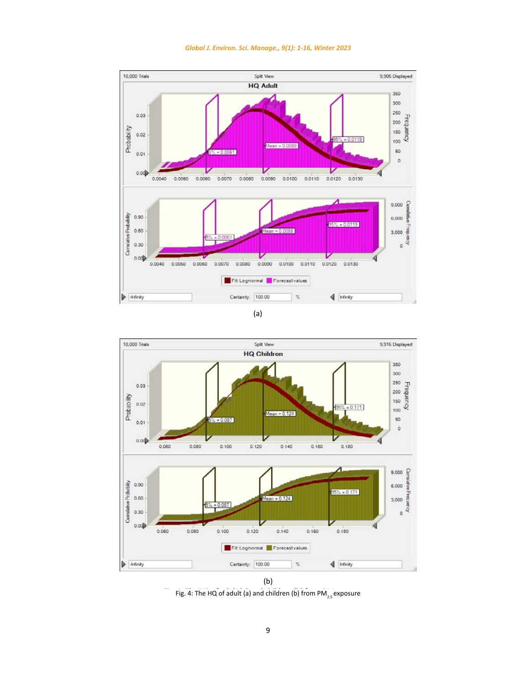

<span id="page-8-0"></span>





Fig. 4: The HQ of adult (a) and children (b) from PM<sub>25</sub> exposure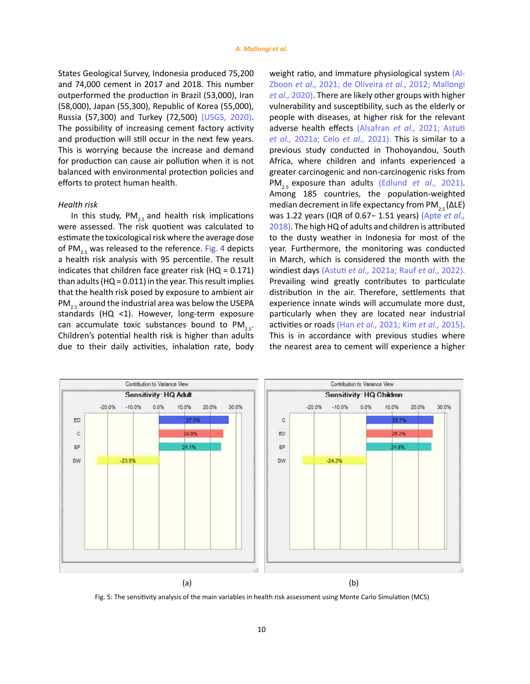States Geological Survey, Indonesia produced 75,200 and 74,000 cement in 2017 and 2018. This number outperformed the production in Brazil (53,000), Iran (58,000), Japan (55,300), Republic of Korea (55,000), Russia (57,300) and Turkey (72,500) [\(USGS, 2020\).](#page-14-0)  The possibility of increasing cement factory activity and production will still occur in the next few years. This is worrying because the increase and demand for production can cause air pollution when it is not balanced with environmental protection policies and efforts to protect human health.

#### *Health risk*

In this study,  $PM_{2.5}$  and health risk implications were assessed. The risk quotient was calculated to estimate the toxicological risk where the average dose of PM<sub>2.5</sub> was released to the reference. [Fig. 4](#page-8-0) depicts a health risk analysis with 95 percentile. The result indicates that children face greater risk (HQ = 0.171) than adults (HQ =  $0.011$ ) in the year. This result implies that the health risk posed by exposure to ambient air PM<sub>2.5</sub> around the industrial area was below the USEPA standards (HQ <1). However, long-term exposure can accumulate toxic substances bound to  $PM_{2.5}$ . Children's potential health risk is higher than adults due to their daily activities, inhalation rate, body

weight ratio, and immature physiological system [\(Al-](#page-13-0)Zboon *et al.,* [2021; de Oliveira](#page-13-0) *et al.,* 2012; [Mallongi](#page-13-0) *[et al.,](#page-13-0)* 2020). There are likely other groups with higher vulnerability and susceptibility, such as the elderly or people with diseases, at higher risk for the relevant adverse health effects (Alsafran *et al.,* [2021; Astuti](#page-12-0)  *et al.,* [2021a; Celo](#page-12-0) *et al.,* 2021). This is similar to a previous study conducted in Thohoyandou, South Africa, where children and infants experienced a greater carcinogenic and non-carcinogenic risks from PM<sub>2.5</sub> exposure than adults [\(Edlund](#page-12-0) *et al.,* 2021). Among 185 countries, the population-weighted median decrement in life expectancy from PM<sub>2.5</sub> ( $\Delta$ LE) was 1.22 years (IQR of 0.67− 1.51 years) [\(Apte](#page-12-0) *et al.,*  [2018\)](#page-12-0). The high HQ of adults and children is attributed to the dusty weather in Indonesia for most of the year. Furthermore, the monitoring was conducted in March, which is considered the month with the windiest days [\(Astuti](#page-12-0) *et al.,* 2021a; Rauf *et al.,* [2022\).](#page-14-0) Prevailing wind greatly contributes to particulate distribution in the air. Therefore, settlements that experience innate winds will accumulate more dust, particularly when they are located near industrial activities or roads (Han *et al.,* [2021; Kim](#page-12-0) *et al.,* 2015). This is in accordance with previous studies where the nearest area to cement will experience a higher

<span id="page-9-0"></span>

Fig. 5: The sensitivity analysis of the main variables in health risk assessment using Monte Carlo Simulation (MCS)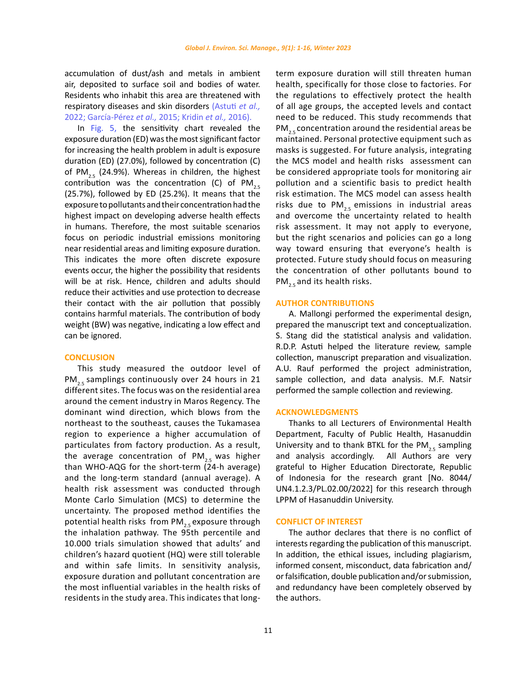accumulation of dust/ash and metals in ambient air, deposited to surface soil and bodies of water. Residents who inhabit this area are threatened with respiratory diseases and skin disorders [\(Astuti](#page-12-0) *et al.,*  [2022; García-Pérez](#page-12-0) *et al.,* 2015; Kridin *et al.,* [2016\).](#page-13-0)

In [Fig. 5](#page-9-0), the sensitivity chart revealed the exposure duration (ED) was the most significant factor for increasing the health problem in adult is exposure duration (ED) (27.0%), followed by concentration (C) of PM<sub>25</sub> (24.9%). Whereas in children, the highest contribution was the concentration (C) of  $PM_{2.5}$ (25.7%), followed by ED (25.2%). It means that the exposure to pollutants and their concentration had the highest impact on developing adverse health effects in humans. Therefore, the most suitable scenarios focus on periodic industrial emissions monitoring near residential areas and limiting exposure duration. This indicates the more often discrete exposure events occur, the higher the possibility that residents will be at risk. Hence, children and adults should reduce their activities and use protection to decrease their contact with the air pollution that possibly contains harmful materials. The contribution of body weight (BW) was negative, indicating a low effect and can be ignored.

#### **CONCLUSION**

This study measured the outdoor level of  $PM_{2.5}$  samplings continuously over 24 hours in 21 different sites. The focus was on the residential area around the cement industry in Maros Regency. The dominant wind direction, which blows from the northeast to the southeast, causes the Tukamasea region to experience a higher accumulation of particulates from factory production. As a result, the average concentration of  $PM_{25}$  was higher than WHO-AQG for the short-term (24-h average) and the long-term standard (annual average). A health risk assessment was conducted through Monte Carlo Simulation (MCS) to determine the uncertainty. The proposed method identifies the potential health risks from  $PM_{25}$  exposure through the inhalation pathway. The 95th percentile and 10.000 trials simulation showed that adults' and children's hazard quotient (HQ) were still tolerable and within safe limits. In sensitivity analysis, exposure duration and pollutant concentration are the most influential variables in the health risks of residents in the study area. This indicates that longterm exposure duration will still threaten human health, specifically for those close to factories. For the regulations to effectively protect the health of all age groups, the accepted levels and contact need to be reduced. This study recommends that  $PM_{25}$  concentration around the residential areas be maintained. Personal protective equipment such as masks is suggested. For future analysis, integrating the MCS model and health risks assessment can be considered appropriate tools for monitoring air pollution and a scientific basis to predict health risk estimation. The MCS model can assess health risks due to PM $_{2.5}$  emissions in industrial areas and overcome the uncertainty related to health risk assessment. It may not apply to everyone, but the right scenarios and policies can go a long way toward ensuring that everyone's health is protected. Future study should focus on measuring the concentration of other pollutants bound to  $PM_{2.5}$  and its health risks.

#### **AUTHOR CONTRIBUTIONS**

A. Mallongi performed the experimental design, prepared the manuscript text and conceptualization. S. Stang did the statistical analysis and validation. R.D.P. Astuti helped the literature review, sample collection, manuscript preparation and visualization. A.U. Rauf performed the project administration, sample collection, and data analysis. M.F. Natsir performed the sample collection and reviewing.

#### **ACKNOWLEDGMENTS**

Thanks to all Lecturers of Environmental Health Department, Faculty of Public Health, Hasanuddin University and to thank BTKL for the  $PM_{2.5}$  sampling<br>and analysis accordingly. All Authors are very and analysis accordingly. grateful to Higher Education Directorate, Republic of Indonesia for the research grant [No. 8044/ UN4.1.2.3/PL.02.00/2022] for this research through LPPM of Hasanuddin University.

#### **CONFLICT OF INTEREST**

The author declares that there is no conflict of interests regarding the publication of this manuscript. In addition, the ethical issues, including plagiarism, informed consent, misconduct, data fabrication and/ or falsification, double publication and/or submission, and redundancy have been completely observed by the authors.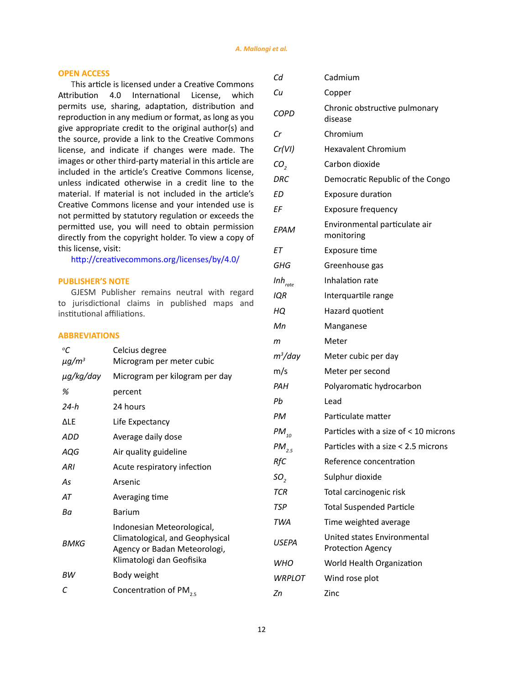# **OPEN ACCESS**

This article is licensed under a Creative Commons Attribution 4.0 International License, which permits use, sharing, adaptation, distribution and reproduction in any medium or format, as long as you give appropriate credit to the original author(s) and the source, provide a link to the Creative Commons license, and indicate if changes were made. The images or other third-party material in this article are included in the article's Creative Commons license, unless indicated otherwise in a credit line to the material. If material is not included in the article's Creative Commons license and your intended use is not permitted by statutory regulation or exceeds the permitted use, you will need to obtain permission directly from the copyright holder. To view a copy of this license, visit:

<http://creativecommons.org/licenses/by/4.0/>

# **PUBLISHER'S NOTE**

GJESM Publisher remains neutral with regard to jurisdictional claims in published maps and institutional affiliations.

# **ABBREVIATIONS**

| Celcius degree                                                                                                             |  |
|----------------------------------------------------------------------------------------------------------------------------|--|
| Microgram per meter cubic                                                                                                  |  |
| Microgram per kilogram per day                                                                                             |  |
| percent                                                                                                                    |  |
| 24 hours                                                                                                                   |  |
| Life Expectancy                                                                                                            |  |
| Average daily dose                                                                                                         |  |
| Air quality guideline                                                                                                      |  |
| Acute respiratory infection                                                                                                |  |
| Arsenic                                                                                                                    |  |
| Averaging time                                                                                                             |  |
| Barium                                                                                                                     |  |
| Indonesian Meteorological,<br>Climatological, and Geophysical<br>Agency or Badan Meteorologi,<br>Klimatologi dan Geofisika |  |
| Body weight                                                                                                                |  |
| Concentration of PM <sub>25</sub>                                                                                          |  |
|                                                                                                                            |  |

| Cd                  | Cadmium                                                 |
|---------------------|---------------------------------------------------------|
| Cu                  | Copper                                                  |
| <b>COPD</b>         | Chronic obstructive pulmonary<br>disease                |
| Cr                  | Chromium                                                |
| Cr(VI)              | <b>Hexavalent Chromium</b>                              |
| CO,                 | Carbon dioxide                                          |
| DRC                 | Democratic Republic of the Congo                        |
| ЕD                  | <b>Exposure duration</b>                                |
| ΕF                  | <b>Exposure frequency</b>                               |
| EPAM                | Environmental particulate air<br>monitoring             |
| EТ                  | Exposure time                                           |
| GHG                 | Greenhouse gas                                          |
| $Inh_{\text{rate}}$ | Inhalation rate                                         |
| IQR                 | Interquartile range                                     |
| HQ                  | Hazard quotient                                         |
| Мn                  | Manganese                                               |
| m                   | Meter                                                   |
| $m^3$ /day          | Meter cubic per day                                     |
| m/s                 | Meter per second                                        |
| PAH                 | Polyaromatic hydrocarbon                                |
| Pb                  | Lead                                                    |
| РM                  | Particulate matter                                      |
| $PM_{10}$           | Particles with a size of < 10 microns                   |
| $PM_{2.5}$          | Particles with a size < 2.5 microns                     |
| RfC                 | Reference concentration                                 |
| SO <sub>2</sub>     | Sulphur dioxide                                         |
| TCR                 | Total carcinogenic risk                                 |
| TSP                 | <b>Total Suspended Particle</b>                         |
| <b>TWA</b>          | Time weighted average                                   |
| <b>USEPA</b>        | United states Environmental<br><b>Protection Agency</b> |
| WHO                 | World Health Organization                               |
| WRPLOT              | Wind rose plot                                          |
| Ζn                  | Zinc                                                    |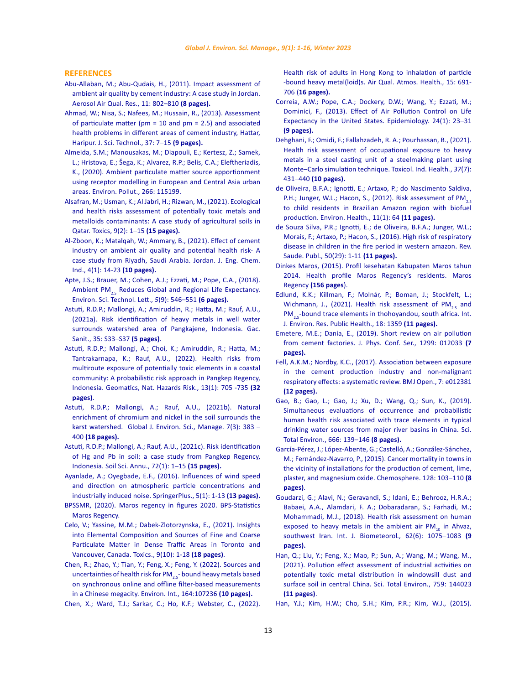### <span id="page-12-0"></span>**REFERENCES**

- [Abu-Allaban, M.; Abu-Qudais, H., \(2011\). Impact assessment of](http://aerosol.ieexa.cas.cn/aaqrkw/kwlwqj/201207/W020120801410156010756.pdf)  [ambient air quality by cement industry: A case study in Jordan.](http://aerosol.ieexa.cas.cn/aaqrkw/kwlwqj/201207/W020120801410156010756.pdf)  [Aerosol Air Qual. Res., 11: 802–810](http://aerosol.ieexa.cas.cn/aaqrkw/kwlwqj/201207/W020120801410156010756.pdf) **(8 pages).**
- [Ahmad, W.; Nisa, S.; Nafees, M.; Hussain, R., \(2013\). Assessment](https://pubmed.ncbi.nlm.nih.gov/35239789/)  [of particulate matter \(pm = 10 and pm = 2.5\) and associated](https://pubmed.ncbi.nlm.nih.gov/35239789/)  [health problems in different areas of cement industry, Hattar,](https://pubmed.ncbi.nlm.nih.gov/35239789/)  [Haripur. J. Sci. Technol., 37: 7–15](https://pubmed.ncbi.nlm.nih.gov/35239789/) **(9 pages).**
- [Almeida, S.M.; Manousakas, M.; Diapouli, E.; Kertesz, Z.; Samek,](https://www.cabdirect.org/globalhealth/abstract/20203404228)  [L.; Hristova, E.; Šega, K.; Alvarez, R.P.; Belis, C.A.; Eleftheriadis,](https://www.cabdirect.org/globalhealth/abstract/20203404228)  [K., \(2020\). Ambient particulate matter source apportionment](https://www.cabdirect.org/globalhealth/abstract/20203404228)  [using receptor modelling in European and Central Asia urban](https://www.cabdirect.org/globalhealth/abstract/20203404228)  [areas. Environ. Pollut., 266: 115199.](https://www.cabdirect.org/globalhealth/abstract/20203404228)
- [Alsafran, M.; Usman, K.; Al Jabri, H.; Rizwan, M., \(2021\). Ecological](https://www.mdpi.com/2305-6304/9/2/35)  [and health risks assessment of potentially toxic metals and](https://www.mdpi.com/2305-6304/9/2/35)  [metalloids contaminants: A case study of agricultural soils in](https://www.mdpi.com/2305-6304/9/2/35)  [Qatar. Toxics, 9\(2\): 1–15](https://www.mdpi.com/2305-6304/9/2/35) **(15 pages).**
- [Al-Zboon, K.; Matalqah, W.; Ammary, B., \(2021\). Effect of cement](http://jjeci.net/wp-content/uploads/2021/04/JJECI20-107Kamel.pdf)  [industry on ambient air quality and potential health risk- A](http://jjeci.net/wp-content/uploads/2021/04/JJECI20-107Kamel.pdf)  [case study from Riyadh, Saudi Arabia. Jordan. J. Eng. Chem.](http://jjeci.net/wp-content/uploads/2021/04/JJECI20-107Kamel.pdf)  [Ind., 4\(1\): 14-23](http://jjeci.net/wp-content/uploads/2021/04/JJECI20-107Kamel.pdf) **(10 pages).**
- [Apte, J.S.; Brauer, M.; Cohen, A.J.; Ezzati, M.; Pope, C.A., \(2018\).](https://pubs.acs.org/doi/10.1021/acs.estlett.8b00360)  Ambient PM<sub>2.5</sub> Reduces Global and Regional Life Expectancy. [Environ. Sci. Technol. Lett.,](https://pubs.acs.org/doi/10.1021/acs.estlett.8b00360) *5*(9): 546–551 **(6 pages).**
- [Astuti, R.D.P.; Mallongi, A.; Amiruddin, R.; Hatta, M.; Rauf, A.U.,](https://www.sciencedirect.com/science/article/pii/S0213911120302673?via%3Dihub)  [\(2021a\). Risk identification of heavy metals in well water](https://www.sciencedirect.com/science/article/pii/S0213911120302673?via%3Dihub)  [surrounds watershed area of Pangkajene, Indonesia. Gac.](https://www.sciencedirect.com/science/article/pii/S0213911120302673?via%3Dihub)  [Sanit., 35: S33–S37](https://www.sciencedirect.com/science/article/pii/S0213911120302673?via%3Dihub) **(5 pages)**.
- [Astuti, R.D.P.; Mallongi, A.; Choi, K.; Amiruddin, R.; Hatta, M.;](https://www.tandfonline.com/doi/full/10.1080/19475705.2022.2041110)  [Tantrakarnapa, K.; Rauf, A.U., \(2022\). Health risks from](https://www.tandfonline.com/doi/full/10.1080/19475705.2022.2041110)  [multiroute exposure of potentially toxic elements in a coastal](https://www.tandfonline.com/doi/full/10.1080/19475705.2022.2041110)  [community: A probabilistic risk approach in Pangkep Regency,](https://www.tandfonline.com/doi/full/10.1080/19475705.2022.2041110)  [Indonesia. Geomatics, Nat. Hazards Risk., 13\(1\): 705 -735](https://www.tandfonline.com/doi/full/10.1080/19475705.2022.2041110) **(32 [pages\)](https://www.tandfonline.com/doi/full/10.1080/19475705.2022.2041110)**.
- [Astuti, R.D.P.; Mallongi, A.; Rauf, A.U., \(2021b\). Natural](https://www.gjesm.net/article_243011.html)  [enrichment of chromium and nickel in the soil surrounds the](https://www.gjesm.net/article_243011.html)  [karst watershed. Global J. Environ. Sci., Manage. 7\(3\): 383 –](https://www.gjesm.net/article_243011.html)  400 **[\(18 pages\).](https://www.gjesm.net/article_243011.html)**
- [Astuti, R.D.P.; Mallongi, A.; Rauf, A.U., \(2021c\). Risk identification](http://www.soilsa.com/Risk-identification-of-Hg-and-Pb-in-soil-a-case-study-from-Pangkep-Regency-Indonesia,135394,0,2.html)  [of Hg and Pb in soil: a case study from Pangkep Regency,](http://www.soilsa.com/Risk-identification-of-Hg-and-Pb-in-soil-a-case-study-from-Pangkep-Regency-Indonesia,135394,0,2.html)  [Indonesia. Soil Sci. Annu., 72\(1\): 1–15](http://www.soilsa.com/Risk-identification-of-Hg-and-Pb-in-soil-a-case-study-from-Pangkep-Regency-Indonesia,135394,0,2.html) **(15 pages).**
- [Ayanlade, A.; Oyegbade, E.F., \(2016\). Influences of wind speed](https://springerplus.springeropen.com/articles/10.1186/s40064-016-3553-y)  [and direction on atmospheric particle concentrations and](https://springerplus.springeropen.com/articles/10.1186/s40064-016-3553-y)  [industrially induced noise. SpringerPlus., 5\(1\): 1-13](https://springerplus.springeropen.com/articles/10.1186/s40064-016-3553-y) **(13 pages).**
- [BPSSMR, \(2020\). Maros regency in figures 2020.](https://ppid.maroskab.go.id/assets/dokumen/7e2d4c3cd1fa15855d10718ccb556c30.pdf) BPS-Statistics Maros Regency.
- [Celo, V.; Yassine, M.M.; Dabek-Zlotorzynska, E., \(2021\). Insights](https://www.mdpi.com/2305-6304/9/10/264)  [into Elemental Composition and Sources of Fine and Coarse](https://www.mdpi.com/2305-6304/9/10/264)  [Particulate Matter in Dense Traffic Areas in Toronto and](https://www.mdpi.com/2305-6304/9/10/264)  [Vancouver, Canada. Toxics., 9\(10\): 1-18](https://www.mdpi.com/2305-6304/9/10/264) **(18 pages)**.
- [Chen, R.; Zhao, Y.; Tian, Y.; Feng, X.; Feng, Y. \(2022\). Sources and](https://www.sciencedirect.com/science/article/pii/S0160412022001623)  uncertainties of health risk for PM<sub>2.5</sub>- bound heavy metals based [on synchronous online and offline filter-based measurements](https://www.sciencedirect.com/science/article/pii/S0160412022001623)  [in a Chinese megacity. Environ. Int., 164:107236](https://www.sciencedirect.com/science/article/pii/S0160412022001623) **(10 pages).**
- [Chen, X.; Ward, T.J.; Sarkar, C.; Ho, K.F.; Webster, C., \(2022\).](https://link.springer.com/content/pdf/10.1007/s11869-021-01115-6.pdf)

[Health risk of adults in Hong Kong to inhalation of particle](https://link.springer.com/content/pdf/10.1007/s11869-021-01115-6.pdf) [-bound heavy metal\(loid\)s. Air Qual. Atmos. Health., 15: 691-](https://link.springer.com/content/pdf/10.1007/s11869-021-01115-6.pdf) 706 (**[16 pages\).](https://link.springer.com/content/pdf/10.1007/s11869-021-01115-6.pdf)**

- [Correia, A.W.; Pope, C.A.; Dockery, D.W.; Wang, Y.; Ezzati, M.;](https://pubmed.ncbi.nlm.nih.gov/23211349/) [Dominici, F., \(2013\). Effect of Air Pollution Control on Life](https://pubmed.ncbi.nlm.nih.gov/23211349/) [Expectancy in the United States. Epidemiology. 24\(1\): 23–31](https://pubmed.ncbi.nlm.nih.gov/23211349/) **[\(9 pages\).](https://pubmed.ncbi.nlm.nih.gov/23211349/)**
- [Dehghani, F.; Omidi, F.; Fallahzadeh, R. A.; Pourhassan, B., \(2021\).](https://journals.sagepub.com/doi/abs/10.1177/07482337211019593) [Health risk assessment of occupational exposure to heavy](https://journals.sagepub.com/doi/abs/10.1177/07482337211019593) [metals in a steel casting unit of a steelmaking plant using](https://journals.sagepub.com/doi/abs/10.1177/07482337211019593) [Monte–Carlo simulation technique.](https://journals.sagepub.com/doi/abs/10.1177/07482337211019593) Toxicol. Ind. Health*.*, *37*(7): 431–440 **[\(10 pages\).](https://journals.sagepub.com/doi/abs/10.1177/07482337211019593)**
- [de Oliveira, B.F.A.; Ignotti, E.; Artaxo, P.; do Nascimento Saldiva,](https://pubmed.ncbi.nlm.nih.gov/22978271/) P.H.; Junger, W.L.; Hacon, S., (2012). Risk assessment of PM<sub>2.5</sub> [to child residents in Brazilian Amazon region with biofuel](https://pubmed.ncbi.nlm.nih.gov/22978271/) [production. Environ. Health., 11\(1\): 64](https://pubmed.ncbi.nlm.nih.gov/22978271/) **(11 pages).**
- [de Souza Silva, P.R.; Ignotti, E.; de Oliveira, B.F.A.; Junger, W.L.;](https://www.scielo.br/j/rsp/a/LK9qM5rj7n6hFp3ykrP3bgz/?format=pdf&lang=en) [Morais, F.; Artaxo, P.; Hacon, S., \(2016\). High risk of respiratory](https://www.scielo.br/j/rsp/a/LK9qM5rj7n6hFp3ykrP3bgz/?format=pdf&lang=en) [disease in children in the fire period in western amazon. Rev.](https://www.scielo.br/j/rsp/a/LK9qM5rj7n6hFp3ykrP3bgz/?format=pdf&lang=en) [Saude. Publ., 50\(29\): 1-11](https://www.scielo.br/j/rsp/a/LK9qM5rj7n6hFp3ykrP3bgz/?format=pdf&lang=en) **(11 pages).**
- [Dinkes Maros, \(2015\). Profil kesehatan Kabupaten Maros tahun](https://pusdatin.kemkes.go.id/resources/download/profil/PROFIL_KAB_KOTA_2014/7308_Sulsel_Kab_Maros_2014.pdf) [2014. Health profile Maros Regency's residents. Maros](https://pusdatin.kemkes.go.id/resources/download/profil/PROFIL_KAB_KOTA_2014/7308_Sulsel_Kab_Maros_2014.pdf) Regency **[\(156 pages](https://pusdatin.kemkes.go.id/resources/download/profil/PROFIL_KAB_KOTA_2014/7308_Sulsel_Kab_Maros_2014.pdf)**).
- [Edlund, K.K.; Killman, F.; Molnár, P.; Boman, J.; Stockfelt, L.;](https://www.mdpi.com/1660-4601/18/3/1359/htm) Wichmann, J., (2021). Health risk assessment of PM<sub>2.5</sub> and PM<sub>2.5</sub>[-bound trace elements in thohoyandou, south africa. Int.](https://www.mdpi.com/1660-4601/18/3/1359/htm) [J. Environ. Res. Public Health., 18: 1359](https://www.mdpi.com/1660-4601/18/3/1359/htm) **(11 pages).**
- [Emetere, M.E.; Dania, E., \(2019\). Short review on air pollution](https://iopscience.iop.org/article/10.1088/1742-6596/1299/1/012033/meta) [from cement factories. J. Phys. Conf. Ser., 1299: 012033](https://iopscience.iop.org/article/10.1088/1742-6596/1299/1/012033/meta) **(7 [pages\).](https://iopscience.iop.org/article/10.1088/1742-6596/1299/1/012033/meta)**
- [Fell, A.K.M.; Nordby, K.C., \(2017\). Association between exposure](https://bmjopen.bmj.com/content/7/4/e012381) [in the cement production industry and non-malignant](https://bmjopen.bmj.com/content/7/4/e012381) [respiratory effects: a systematic review. BMJ Open., 7: e012381](https://bmjopen.bmj.com/content/7/4/e012381) **[\(12 pages\).](https://bmjopen.bmj.com/content/7/4/e012381)**
- [Gao, B.; Gao, L.; Gao, J.; Xu, D.; Wang, Q.; Sun, K., \(2019\).](https://www.sciencedirect.com/science/article/abs/pii/S0048969719306369) [Simultaneous evaluations of occurrence and probabilistic](https://www.sciencedirect.com/science/article/abs/pii/S0048969719306369) [human health risk associated with trace elements in typical](https://www.sciencedirect.com/science/article/abs/pii/S0048969719306369) [drinking water sources from major river basins in China. Sci.](https://www.sciencedirect.com/science/article/abs/pii/S0048969719306369) [Total Environ., 666: 139–146](https://www.sciencedirect.com/science/article/abs/pii/S0048969719306369) **(8 pages).**
- [García-Pérez, J.; López-Abente, G.; Castelló, A.; González-Sánchez,](https://pubmed.ncbi.nlm.nih.gov/25681568/) [M.; Fernández-Navarro, P., \(2015\). Cancer mortality in towns in](https://pubmed.ncbi.nlm.nih.gov/25681568/) [the vicinity of installations for the production of cement, lime,](https://pubmed.ncbi.nlm.nih.gov/25681568/) [plaster, and magnesium oxide. Chemosphere. 128: 103–110](https://pubmed.ncbi.nlm.nih.gov/25681568/) **(8 [pages\)](https://pubmed.ncbi.nlm.nih.gov/25681568/)**.
- [Goudarzi, G.; Alavi, N.; Geravandi, S.; Idani, E.; Behrooz, H.R.A.;](https://pubmed.ncbi.nlm.nih.gov/29464337/) [Babaei, A.A., Alamdari, F. A.; Dobaradaran, S.; Farhadi, M.;](https://pubmed.ncbi.nlm.nih.gov/29464337/) [Mohammadi, M.J., \(2018\). Health risk assessment on human](https://pubmed.ncbi.nlm.nih.gov/29464337/) exposed to heavy metals in the ambient air  $PM_{10}$  in Ahvaz, [southwest Iran. Int. J. Biometeorol](https://pubmed.ncbi.nlm.nih.gov/29464337/)*.,* 62(6): 1075–1083 **(9 [pages\).](https://pubmed.ncbi.nlm.nih.gov/29464337/)**
- [Han, Q.; Liu, Y.; Feng, X.; Mao, P.; Sun, A.; Wang, M.; Wang, M.,](https://www.sciencedirect.com/science/article/abs/pii/S0048969720375549) [\(2021\). Pollution effect assessment of industrial activities on](https://www.sciencedirect.com/science/article/abs/pii/S0048969720375549) [potentially toxic metal distribution in windowsill dust and](https://www.sciencedirect.com/science/article/abs/pii/S0048969720375549) [surface soil in central China. Sci. Total Environ., 759: 144023](https://www.sciencedirect.com/science/article/abs/pii/S0048969720375549) **[\(11 pages\)](https://www.sciencedirect.com/science/article/abs/pii/S0048969720375549)**.
- [Han, Y.J.; Kim, H.W.; Cho, S.H.; Kim, P.R.; Kim, W.J., \(2015\).](https://www.sciencedirect.com/science/article/pii/S0169809514003718)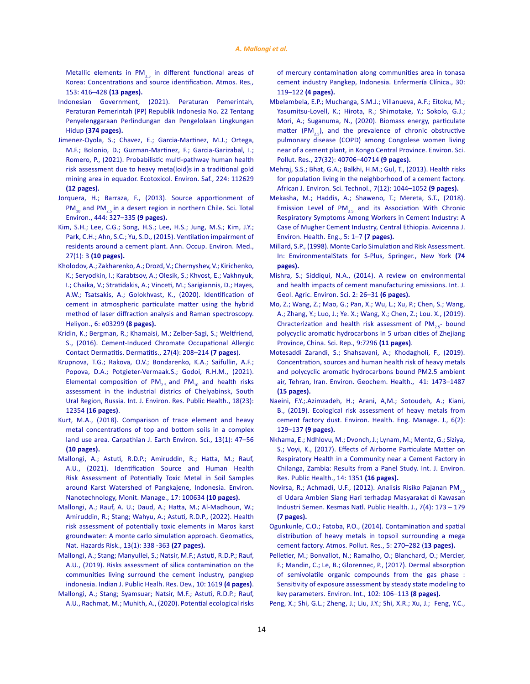<span id="page-13-0"></span>Metallic elements in  $PM_{2.5}$  in different functional areas of [Korea: Concentrations and source identification. Atmos. Res](https://www.sciencedirect.com/science/article/pii/S0169809514003718)*.,* [153: 416–428](https://www.sciencedirect.com/science/article/pii/S0169809514003718) **(13 pages).**

- [Indonesian Government, \(2021\). Peraturan Pemerintah,](https://peraturan.bpk.go.id/Home/Details/161852/pp-no-22-tahun-2021)  [Peraturan Pemerintah \(PP\) Republik Indonesia No. 22 Tentang](https://peraturan.bpk.go.id/Home/Details/161852/pp-no-22-tahun-2021)  [Penyelenggaraan Perlindungan dan Pengelolaan Lingkungan](https://peraturan.bpk.go.id/Home/Details/161852/pp-no-22-tahun-2021)  Hidup **[\(374 pages\).](https://peraturan.bpk.go.id/Home/Details/161852/pp-no-22-tahun-2021)**
- [Jimenez-Oyola, S.; Chavez, E.; Garcia-Martinez, M.J.; Ortega,](https://www.sciencedirect.com/science/article/pii/S0147651321007417)  [M.F.; Bolonio, D.; Guzman-Martinez, F.; Garcia-Garizabal, I.;](https://www.sciencedirect.com/science/article/pii/S0147651321007417)  [Romero, P., \(2021\). Probabilistic multi-pathway human health](https://www.sciencedirect.com/science/article/pii/S0147651321007417)  [risk assessment due to heavy meta\(loid\)s in a traditional gold](https://www.sciencedirect.com/science/article/pii/S0147651321007417)  [mining area in equador. Ecotoxicol. Environ. Saf., 224: 112629](https://www.sciencedirect.com/science/article/pii/S0147651321007417)  **[\(12 pages\).](https://www.sciencedirect.com/science/article/pii/S0147651321007417)**
- [Jorquera, H.; Barraza, F., \(2013\). Source apportionment of](https://www.sciencedirect.com/science/article/abs/pii/S0048969712015495)  PM<sub>10</sub> and PM<sub>25</sub> in a desert region in northern Chile. Sci. Total [Environ., 444: 327–335](https://www.sciencedirect.com/science/article/abs/pii/S0048969712015495) **(9 pages).**
- [Kim, S.H.; Lee, C.G.; Song, H.S.; Lee, H.S.; Jung, M.S.; Kim, J.Y.;](https://pubmed.ncbi.nlm.nih.gov/25713724/)  [Park, C.H.; Ahn, S.C.; Yu, S.D., \(2015\). Ventilation impairment of](https://pubmed.ncbi.nlm.nih.gov/25713724/)  [residents around a cement plant. Ann. Occup. Environ. Med.,](https://pubmed.ncbi.nlm.nih.gov/25713724/)  27(1): 3 **[\(10 pages\).](https://pubmed.ncbi.nlm.nih.gov/25713724/)**
- [Kholodov, A.; Zakharenko, A.; Drozd, V.; Chernyshev, V.; Kirichenko,](https://www.sciencedirect.com/science/article/pii/S2405844020301444)  [K.; Seryodkin, I.; Karabtsov, A.; Olesik, S.; Khvost, E.; Vakhnyuk,](https://www.sciencedirect.com/science/article/pii/S2405844020301444)  [I.; Chaika, V.; Stratidakis, A.; Vinceti, M.; Sarigiannis, D.; Hayes,](https://www.sciencedirect.com/science/article/pii/S2405844020301444)  [A.W.; Tsatsakis, A.; Golokhvast, K., \(2020\). Identification of](https://www.sciencedirect.com/science/article/pii/S2405844020301444)  [cement in atmospheric particulate matter using the hybrid](https://www.sciencedirect.com/science/article/pii/S2405844020301444)  [method of laser diffraction analysis and Raman spectroscopy.](https://www.sciencedirect.com/science/article/pii/S2405844020301444)  [Heliyon., 6: e03299](https://www.sciencedirect.com/science/article/pii/S2405844020301444) **(8 pages).**
- [Kridin, K.; Bergman, R.; Khamaisi, M.; Zelber-Sagi, S.; Weltfriend,](https://pubmed.ncbi.nlm.nih.gov/27331340/)  [S., \(2016\). Cement-Induced Chromate Occupational Allergic](https://pubmed.ncbi.nlm.nih.gov/27331340/)  [Contact Dermatitis. Dermatitis., 27\(4\): 208–214](https://pubmed.ncbi.nlm.nih.gov/27331340/) **(7 pages**).
- [Krupnova, T.G.; Rakova, O.V.; Bondarenko, K.A.; Saifullin, A.F.;](https://www.mdpi.com/1660-4601/18/23/12354)  [Popova, D.A.; Potgieter-Vermaak.S.; Godoi, R.H.M., \(2021\).](https://www.mdpi.com/1660-4601/18/23/12354)  Elemental composition of  $PM_{25}$  and  $PM_{10}$  and health risks [assessment in the industrial districs of Chelyabinsk, South](https://www.mdpi.com/1660-4601/18/23/12354)  [Ural Region, Russia. Int. J. Environ. Res. Public Health., 18\(23\):](https://www.mdpi.com/1660-4601/18/23/12354)  12354 **[\(16 pages\)](https://www.mdpi.com/1660-4601/18/23/12354)**.
- [Kurt, M.A., \(2018\). Comparison of trace element and heavy](http://cjees.ro/viewTopic.php?topicId=721)  [metal concentrations of top and bottom soils in a complex](http://cjees.ro/viewTopic.php?topicId=721)  [land use area. Carpathian J. Earth Environ. Sci., 13\(1\): 47–56](http://cjees.ro/viewTopic.php?topicId=721)  **[\(10 pages\).](http://cjees.ro/viewTopic.php?topicId=721)**
- [Mallongi, A.; Astuti, R.D.P.; Amiruddin, R.; Hatta, M.; Rauf,](https://www.sciencedirect.com/science/article/abs/pii/S2215153221002099?via%3Dihub)  [A.U., \(2021\). Identification Source and Human Health](https://www.sciencedirect.com/science/article/abs/pii/S2215153221002099?via%3Dihub)  [Risk Assessment of Potentially Toxic Metal in Soil Samples](https://www.sciencedirect.com/science/article/abs/pii/S2215153221002099?via%3Dihub)  [around Karst Watershed of Pangkajene, Indonesia. Environ.](https://www.sciencedirect.com/science/article/abs/pii/S2215153221002099?via%3Dihub)  [Nanotechnology, Monit. Manage., 17: 100634](https://www.sciencedirect.com/science/article/abs/pii/S2215153221002099?via%3Dihub) **(10 pages).**
- [Mallongi, A.; Rauf, A. U.; Daud, A.; Hatta, M.; Al-Madhoun, W.;](https://www.tandfonline.com/doi/full/10.1080/19475705.2022.2027528)  [Amiruddin, R.; Stang; Wahyu, A.; Astuti, R.D.P., \(2022\). Health](https://www.tandfonline.com/doi/full/10.1080/19475705.2022.2027528)  [risk assessment of potentially toxic elements in Maros karst](https://www.tandfonline.com/doi/full/10.1080/19475705.2022.2027528)  [groundwater: A monte carlo simulation approach. Geomatics,](https://www.tandfonline.com/doi/full/10.1080/19475705.2022.2027528)  [Nat. Hazards Risk., 13\(1\): 338 -363](https://www.tandfonline.com/doi/full/10.1080/19475705.2022.2027528) **(27 pages).**
- [Mallongi, A.; Stang; Manyullei, S.; Natsir, M.F.; Astuti, R.D.P.; Rauf,](https://web.p.ebscohost.com/abstract?direct=true&profile=ehost&scope=site&authtype=crawler&jrnl=09760245&AN=140756471&h=thr0ujQrA1Y%2fmEJo0Avpx1RKyQ%2f7eL6ZhZAmzkQD1JvaQH6TvvI5blq1xOvUZXLZ7o8mO3v8Lh2DuaZQAhQatg%3d%3d&crl=c&resultNs=AdminWebAuth&resultLocal=ErrCrlNotAuth&crlhashurl=login.aspx%3fdirect%3dtrue%26profile%3dehost%26scope%3dsite%26authtype%3dcrawler%26jrnl%3d09760245%26AN%3d140756471)  [A.U., \(2019\). Risks assessment of silica contamination on the](https://web.p.ebscohost.com/abstract?direct=true&profile=ehost&scope=site&authtype=crawler&jrnl=09760245&AN=140756471&h=thr0ujQrA1Y%2fmEJo0Avpx1RKyQ%2f7eL6ZhZAmzkQD1JvaQH6TvvI5blq1xOvUZXLZ7o8mO3v8Lh2DuaZQAhQatg%3d%3d&crl=c&resultNs=AdminWebAuth&resultLocal=ErrCrlNotAuth&crlhashurl=login.aspx%3fdirect%3dtrue%26profile%3dehost%26scope%3dsite%26authtype%3dcrawler%26jrnl%3d09760245%26AN%3d140756471)  [communities living surround the cement industry, pangkep](https://web.p.ebscohost.com/abstract?direct=true&profile=ehost&scope=site&authtype=crawler&jrnl=09760245&AN=140756471&h=thr0ujQrA1Y%2fmEJo0Avpx1RKyQ%2f7eL6ZhZAmzkQD1JvaQH6TvvI5blq1xOvUZXLZ7o8mO3v8Lh2DuaZQAhQatg%3d%3d&crl=c&resultNs=AdminWebAuth&resultLocal=ErrCrlNotAuth&crlhashurl=login.aspx%3fdirect%3dtrue%26profile%3dehost%26scope%3dsite%26authtype%3dcrawler%26jrnl%3d09760245%26AN%3d140756471)  [indonesia. Indian J. Public Healh. Res. Dev., 10: 1619](https://web.p.ebscohost.com/abstract?direct=true&profile=ehost&scope=site&authtype=crawler&jrnl=09760245&AN=140756471&h=thr0ujQrA1Y%2fmEJo0Avpx1RKyQ%2f7eL6ZhZAmzkQD1JvaQH6TvvI5blq1xOvUZXLZ7o8mO3v8Lh2DuaZQAhQatg%3d%3d&crl=c&resultNs=AdminWebAuth&resultLocal=ErrCrlNotAuth&crlhashurl=login.aspx%3fdirect%3dtrue%26profile%3dehost%26scope%3dsite%26authtype%3dcrawler%26jrnl%3d09760245%26AN%3d140756471) **(4 pages)**.
- [Mallongi, A.; Stang; Syamsuar; Natsir, M.F.; Astuti, R.D.P.; Rauf,](https://www.sciencedirect.com/science/article/abs/pii/S1130862120301534)  [A.U., Rachmat, M.; Muhith, A., \(2020\). Potential ecological risks](https://www.sciencedirect.com/science/article/abs/pii/S1130862120301534)

[of mercury contamination along communities area in tonasa](https://www.sciencedirect.com/science/article/abs/pii/S1130862120301534) [cement industry Pangkep, Indonesia. Enfermería Clínica., 30:](https://www.sciencedirect.com/science/article/abs/pii/S1130862120301534) 119–122 **[\(4 pages\).](https://www.sciencedirect.com/science/article/abs/pii/S1130862120301534)**

- [Mbelambela, E.P.; Muchanga, S.M.J.; Villanueva, A.F.; Eitoku, M.;](https://pubmed.ncbi.nlm.nih.gov/32671709/) [Yasumitsu-Lovell, K.; Hirota, R.; Shimotake, Y.; Sokolo, G.J.;](https://pubmed.ncbi.nlm.nih.gov/32671709/) [Mori, A.; Suganuma, N., \(2020\). Biomass energy, particulate](https://pubmed.ncbi.nlm.nih.gov/32671709/) matter (PM<sub>2.5</sub>), and the prevalence of chronic obstructive [pulmonary disease \(COPD\) among Congolese women living](https://pubmed.ncbi.nlm.nih.gov/32671709/) [near of a cement plant, in Kongo Central Province. Environ. Sci.](https://pubmed.ncbi.nlm.nih.gov/32671709/) [Pollut. Res., 27\(32\): 40706–40714](https://pubmed.ncbi.nlm.nih.gov/32671709/) **(9 pages).**
- [Mehraj, S.S.; Bhat, G.A.; Balkhi, H.M.; Gul, T., \(2013\). Health risks](https://www.ajol.info/index.php/ajest/article/view/134947) [for population living in the neighborhood of a cement factory.](https://www.ajol.info/index.php/ajest/article/view/134947) [African J. Environ. Sci. Technol., 7\(12\): 1044–1052](https://www.ajol.info/index.php/ajest/article/view/134947) **(9 pages).**
- [Mekasha, M.; Haddis, A.; Shaweno, T.; Mereta, S.T., \(2018\).](https://www.sid.ir/en/Journal/ViewPaper.aspx?ID=702858) Emission Level of  $PM_{2.5}$  and its Association With Chronic [Respiratory Symptoms Among Workers in Cement Industry: A](https://www.sid.ir/en/Journal/ViewPaper.aspx?ID=702858) [Case of Mugher Cement Industry, Central Ethiopia. Avicenna J.](https://www.sid.ir/en/Journal/ViewPaper.aspx?ID=702858) [Environ. Health. Eng., 5: 1–7](https://www.sid.ir/en/Journal/ViewPaper.aspx?ID=702858) **(7 pages).**
- [Millard, S.P., \(1998\). Monte Carlo Simulation and Risk Assessment.](https://link.springer.com/chapter/10.1007/978-1-4684-0460-9_11) [In: EnvironmentalStats for S-Plus, Springer., New York](https://link.springer.com/chapter/10.1007/978-1-4684-0460-9_11) **(74 [pages\).](https://link.springer.com/chapter/10.1007/978-1-4684-0460-9_11)**
- [Mishra, S.; Siddiqui, N.A., \(2014\). A review on environmental](https://www.woarjournals.org/admin/vol_issue1/upload%20Image/IJGAES021313.pdf) [and health impacts of cement manufacturing emissions. Int. J.](https://www.woarjournals.org/admin/vol_issue1/upload%20Image/IJGAES021313.pdf) [Geol. Agric. Environ. Sci. 2: 26–31](https://www.woarjournals.org/admin/vol_issue1/upload%20Image/IJGAES021313.pdf) **(6 pages).**
- [Mo, Z.; Wang, Z.; Mao, G.; Pan, X.; Wu, L.; Xu, P.; Chen, S.; Wang,](https://www.nature.com/articles/s41598-019-43557-0) [A.; Zhang, Y.; Luo, J.; Ye. X.; Wang, X.; Chen, Z.; Lou. X., \(2019\).](https://www.nature.com/articles/s41598-019-43557-0) Chracterization and health risk assessment of  $PM_{2.5}$ - bound [polycyclic aromatic hydrocarbons in 5 urban cities of Zhejiang](https://www.nature.com/articles/s41598-019-43557-0) [Province, China. Sci. Rep., 9:7296](https://www.nature.com/articles/s41598-019-43557-0) **(11 pages)**.
- [Motesaddi Zarandi, S.; Shahsavani, A.; Khodagholi, F., \(2019\).](https://link.springer.com/article/10.1007/s10653-018-0229-2) [Concentration, sources and human health risk of heavy metals](https://link.springer.com/article/10.1007/s10653-018-0229-2) [and polycyclic aromatic hydrocarbons bound PM2.5 ambient](https://link.springer.com/article/10.1007/s10653-018-0229-2) [air, Tehran, Iran. Environ. Geochem. Health., 41: 1473–1487](https://link.springer.com/article/10.1007/s10653-018-0229-2) **[\(15 pages\).](https://link.springer.com/article/10.1007/s10653-018-0229-2)**
- [Naeini, F.Y.;.Azimzadeh, H.; Arani, A,M.; Sotoudeh, A.; Kiani,](http://ehemj.com/article-1-489-en.html) [B., \(2019\). Ecological risk assessment of heavy metals from](http://ehemj.com/article-1-489-en.html) [cement factory dust. Environ. Health. Eng. Manage. J., 6\(2\):](http://ehemj.com/article-1-489-en.html) 129–137 **[\(9 pages\).](http://ehemj.com/article-1-489-en.html)**
- [Nkhama, E.; Ndhlovu, M.; Dvonch, J.; Lynam, M.; Mentz, G.; Siziya,](https://www.mdpi.com/1660-4601/14/11/1351) [S.; Voyi, K., \(2017\). Effects of Airborne Particulate Matter on](https://www.mdpi.com/1660-4601/14/11/1351) [Respiratory Health in a Community near a Cement Factory in](https://www.mdpi.com/1660-4601/14/11/1351) [Chilanga, Zambia: Results from a Panel Study. Int. J. Environ.](https://www.mdpi.com/1660-4601/14/11/1351) [Res. Public Health., 14: 1351](https://www.mdpi.com/1660-4601/14/11/1351) **(16 pages).**
- Novirsa, R.; Achmadi, U.F., (2012). Analisis Risiko Pajanan PM<sub>2.5</sub> [di Udara Ambien Siang Hari terhadap Masyarakat di Kawasan](https://journal.fkm.ui.ac.id/kesmas/article/view/52) [Industri Semen. Kesmas Natl. Public Health. J., 7\(4\): 173 – 179](https://journal.fkm.ui.ac.id/kesmas/article/view/52) **[\(7 pages\).](https://journal.fkm.ui.ac.id/kesmas/article/view/52)**
- [Ogunkunle, C.O.; Fatoba, P.O., \(2014\). Contamination and spatial](https://www.sciencedirect.com/science/article/pii/S1309104215303275) [distribution of heavy metals in topsoil surrounding a mega](https://www.sciencedirect.com/science/article/pii/S1309104215303275) [cement factory. Atmos. Pollut. Res., 5: 270–282 \(](https://www.sciencedirect.com/science/article/pii/S1309104215303275)**13 pages).**
- [Pelletier, M.; Bonvallot, N.; Ramalho, O.; Blanchard, O.; Mercier,](https://www.sciencedirect.com/science/article/pii/S0160412016309266?via%3Dihub) [F.; Mandin, C.; Le, B.; Glorennec, P., \(2017\). Dermal absorption](https://www.sciencedirect.com/science/article/pii/S0160412016309266?via%3Dihub) [of semivolatile organic compounds from the gas phase :](https://www.sciencedirect.com/science/article/pii/S0160412016309266?via%3Dihub) [Sensitivity of exposure assessment by steady state modeling to](https://www.sciencedirect.com/science/article/pii/S0160412016309266?via%3Dihub) [key parameters. Environ. Int., 102: 106–113](https://www.sciencedirect.com/science/article/pii/S0160412016309266?via%3Dihub) **(8 pages).**
- [Peng, X.; Shi, G.L.; Zheng, J.; Liu, J.Y.; Shi, X.R.; Xu, J.; Feng, Y.C.,](https://www.sciencedirect.com/science/article/abs/pii/S0048969716301917)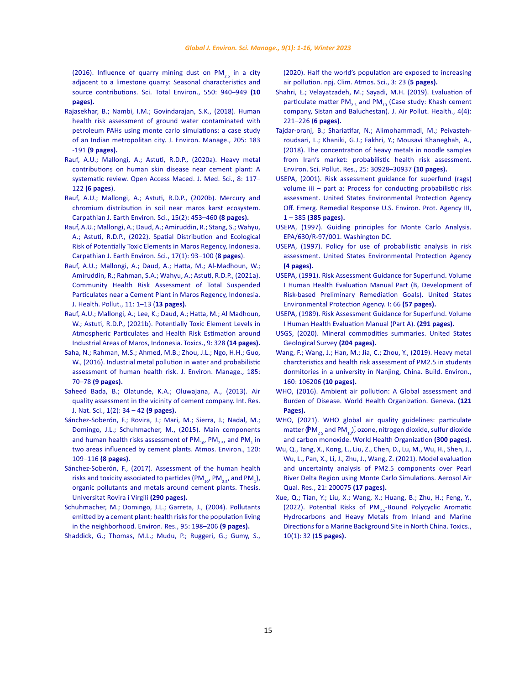<span id="page-14-0"></span>(2016). Influence of quarry mining dust on  $PM_{2.5}$  in a city [adjacent to a limestone quarry: Seasonal characteristics and](https://www.sciencedirect.com/science/article/abs/pii/S0048969716301917)  [source contributions. Sci. Total Environ., 550: 940–949](https://www.sciencedirect.com/science/article/abs/pii/S0048969716301917) **(10 [pages\).](https://www.sciencedirect.com/science/article/abs/pii/S0048969716301917)**

- [Rajasekhar, B.; Nambi, I.M.; Govindarajan, S.K., \(2018\). Human](https://pubmed.ncbi.nlm.nih.gov/28985597/)  [health risk assessment of ground water contaminated with](https://pubmed.ncbi.nlm.nih.gov/28985597/)  [petroleum PAHs using monte carlo simulations: a case study](https://pubmed.ncbi.nlm.nih.gov/28985597/)  [of an Indian metropolitan city. J. Environ. Manage., 205: 183](https://pubmed.ncbi.nlm.nih.gov/28985597/)  -191 **[\(9 pages\).](https://pubmed.ncbi.nlm.nih.gov/28985597/)**
- [Rauf, A.U.; Mallongi, A.; Astuti, R.D.P., \(2020a\). Heavy metal](https://oamjms.eu/index.php/mjms/article/view/4396)  [contributions on human skin disease near cement plant: A](https://oamjms.eu/index.php/mjms/article/view/4396)  [systematic review. Open Access Maced. J. Med. Sci., 8: 117–](https://oamjms.eu/index.php/mjms/article/view/4396)  122 **[\(6 pages](https://oamjms.eu/index.php/mjms/article/view/4396)**).
- [Rauf, A.U.; Mallongi, A.; Astuti, R.D.P., \(2020b\). Mercury and](http://cjees.ro/viewTopic.php?topicId=871)  [chromium distribution in soil near maros karst ecosystem.](http://cjees.ro/viewTopic.php?topicId=871)  [Carpathian J. Earth Environ. Sci., 15\(2\): 453–460](http://cjees.ro/viewTopic.php?topicId=871) **(8 pages).**
- [Rauf, A.U.; Mallongi, A.; Daud, A.; Amiruddin, R.; Stang, S.; Wahyu,](http://www.cjees.ro/viewTopic.php?topicId=931)  [A.; Astuti, R.D.P., \(2022\). Spatial Distribution and Ecological](http://www.cjees.ro/viewTopic.php?topicId=931)  [Risk of Potentially Toxic Elements in Maros Regency, Indonesia.](http://www.cjees.ro/viewTopic.php?topicId=931)  [Carpathian J. Earth Environ. Sci., 17\(1\): 93–100 \(](http://www.cjees.ro/viewTopic.php?topicId=931)**8 pages**).
- [Rauf, A.U.; Mallongi, A.; Daud, A.; Hatta, M.; Al-Madhoun, W.;](https://meridian.allenpress.com/jhp/article/11/30/210616/466387/Community-Health-Risk-Assessment-of-Total)  [Amiruddin, R.; Rahman, S.A.; Wahyu, A.; Astuti, R.D.P., \(2021a\).](https://meridian.allenpress.com/jhp/article/11/30/210616/466387/Community-Health-Risk-Assessment-of-Total)  [Community Health Risk Assessment of Total Suspended](https://meridian.allenpress.com/jhp/article/11/30/210616/466387/Community-Health-Risk-Assessment-of-Total)  [Particulates near a Cement Plant in Maros Regency, Indonesia.](https://meridian.allenpress.com/jhp/article/11/30/210616/466387/Community-Health-Risk-Assessment-of-Total)  [J. Health. Pollut., 11: 1–13 \(](https://meridian.allenpress.com/jhp/article/11/30/210616/466387/Community-Health-Risk-Assessment-of-Total)**13 pages).**
- [Rauf, A.U.; Mallongi, A.; Lee, K.; Daud, A.; Hatta, M.; Al Madhoun,](https://www.mdpi.com/2305-6304/9/12/328)  [W.; Astuti, R.D.P., \(2021b\). Potentially Toxic Element Levels in](https://www.mdpi.com/2305-6304/9/12/328)  [Atmospheric Particulates and Health Risk Estimation around](https://www.mdpi.com/2305-6304/9/12/328)  [Industrial Areas of Maros, Indonesia. Toxics., 9: 328](https://www.mdpi.com/2305-6304/9/12/328) **(14 pages).**
- [Saha, N.; Rahman, M.S.; Ahmed, M.B.; Zhou, J.L.; Ngo, H.H.; Guo,](https://www.sciencedirect.com/science/article/pii/S0301479716308040?via%3Dihub)  [W., \(2016\). Industrial metal pollution in water and probabilistic](https://www.sciencedirect.com/science/article/pii/S0301479716308040?via%3Dihub)  [assessment of human health risk. J. Environ. Manage., 185:](https://www.sciencedirect.com/science/article/pii/S0301479716308040?via%3Dihub)  70–78 **[\(9 pages\).](https://www.sciencedirect.com/science/article/pii/S0301479716308040?via%3Dihub)**
- [Saheed Bada, B.; Olatunde, K.A.; Oluwajana, A., \(2013\). Air](https://www.eajournals.org/wp-content/uploads/AIR-QUALITY-ASSESSMENT-IN-THE-VICINITY-OF-CEMENT-COMPANY.pdf)  [quality assessment in the vicinity of cement company. Int. Res.](https://www.eajournals.org/wp-content/uploads/AIR-QUALITY-ASSESSMENT-IN-THE-VICINITY-OF-CEMENT-COMPANY.pdf)  [J. Nat. Sci., 1\(2\): 34 – 42](https://www.eajournals.org/wp-content/uploads/AIR-QUALITY-ASSESSMENT-IN-THE-VICINITY-OF-CEMENT-COMPANY.pdf) **(9 pages).**
- [Sánchez-Soberón, F.; Rovira, J.; Mari, M.; Sierra, J.; Nadal, M.;](https://www.sciencedirect.com/science/article/abs/pii/S1352231015302661?via%3Dihub)  [Domingo, J.L.; Schuhmacher, M., \(2015\). Main components](https://www.sciencedirect.com/science/article/abs/pii/S1352231015302661?via%3Dihub)  and human health risks assessment of  $\text{PM}_{_{10'}}$  PM $_{_{2.5'}}$  and PM $_{_1}$  in [two areas influenced by cement plants. Atmos. Environ., 120:](https://www.sciencedirect.com/science/article/abs/pii/S1352231015302661?via%3Dihub)  109–116 **[\(8 pages\).](https://www.sciencedirect.com/science/article/abs/pii/S1352231015302661?via%3Dihub)**
- [Sánchez-Soberón, F., \(2017\). Assessment of the human health](https://dialnet.unirioja.es/servlet/tesis?codigo=249479)  [risks and toxicity associated to particles \(PM](https://dialnet.unirioja.es/servlet/tesis?codigo=249479) $_{10'}$  PM $_{2.5'}$  and PM $_1$ ), [organic pollutants and metals around cement plants. Thesis.](https://dialnet.unirioja.es/servlet/tesis?codigo=249479)  [Universitat Rovira i Virgili](https://dialnet.unirioja.es/servlet/tesis?codigo=249479) **(290 pages).**
- [Schuhmacher, M.; Domingo, J.L.; Garreta, J., \(2004\). Pollutants](https://www.sciencedirect.com/science/article/abs/pii/S0013935103001725?via%3Dihub)  [emitted by a cement plant: health risks for the population living](https://www.sciencedirect.com/science/article/abs/pii/S0013935103001725?via%3Dihub)  [in the neighborhood. Environ. Res., 95: 198–206](https://www.sciencedirect.com/science/article/abs/pii/S0013935103001725?via%3Dihub) **(9 pages).**

[Shaddick, G.; Thomas, M.L.; Mudu, P.; Ruggeri, G.; Gumy, S.,](https://www.nature.com/articles/s41612-020-0124-2) 

[\(2020\). Half the world's population are exposed to increasing](https://www.nature.com/articles/s41612-020-0124-2) [air pollution. npj. Clim. Atmos. Sci., 3: 23 \(](https://www.nature.com/articles/s41612-020-0124-2)**5 pages).**

- [Shahri, E.; Velayatzadeh, M.; Sayadi, M.H. \(2019\). Evaluation of](https://japh.tums.ac.ir/index.php/japh/article/view/221) particulate matter  $PM_{25}$  and  $PM_{10}$  [\(Case study: Khash cement](https://japh.tums.ac.ir/index.php/japh/article/view/221) [company, Sistan and Baluchestan\). J. Air Pollut. Health., 4\(4\):](https://japh.tums.ac.ir/index.php/japh/article/view/221) [221–226 \(](https://japh.tums.ac.ir/index.php/japh/article/view/221)**6 pages).**
- [Tajdar-oranj, B.; Shariatifar, N.; Alimohammadi, M.; Peivasteh](https://link.springer.com/article/10.1007/s11356-018-3030-y)[roudsari, L.; Khaniki, G.J.; Fakhri, Y.; Mousavi Khaneghah, A.,](https://link.springer.com/article/10.1007/s11356-018-3030-y) [\(2018\). The concentration of heavy metals in noodle samples](https://link.springer.com/article/10.1007/s11356-018-3030-y) [from Iran's market: probabilistic health risk assessment.](https://link.springer.com/article/10.1007/s11356-018-3030-y) [Environ. Sci. Pollut. Res., 25: 30928–30937](https://link.springer.com/article/10.1007/s11356-018-3030-y) **(10 pages).**
- [USEPA, \(2001\). Risk assessment guidance for superfund \(rags\)](https://www.epa.gov/risk/risk-assessment-guidance-superfund-rags-volume-iii-part) [volume iii – part a: Process for conducting probabilistic risk](https://www.epa.gov/risk/risk-assessment-guidance-superfund-rags-volume-iii-part) [assessment. United States Environmental Protection Agency](https://www.epa.gov/risk/risk-assessment-guidance-superfund-rags-volume-iii-part) [Off. Emerg. Remedial Response U.S. Environ. Prot. Agency III,](https://www.epa.gov/risk/risk-assessment-guidance-superfund-rags-volume-iii-part) 1 – 385 **[\(385 pages\).](https://www.epa.gov/risk/risk-assessment-guidance-superfund-rags-volume-iii-part)**
- [USEPA, \(1997\). Guiding principles for Monte Carlo Analysis.](https://www.epa.gov/sites/default/files/2014-11/documents/montecar.pdf) [EPA/630/R-97/001. Washington DC.](https://www.epa.gov/sites/default/files/2014-11/documents/montecar.pdf)
- [USEPA, \(1997\). Policy for use of probabilistic analysis in risk](https://www.epa.gov/risk/policy-use-probabilistic-analysis-risk-assessment-epa) [assessment. United States Environmental Protection Agency](https://www.epa.gov/risk/policy-use-probabilistic-analysis-risk-assessment-epa) **[\(4 pages\).](https://www.epa.gov/risk/policy-use-probabilistic-analysis-risk-assessment-epa)**
- [USEPA, \(1991\). Risk Assessment Guidance for Superfund. Volume](https://semspub.epa.gov/work/HQ/192.pdf) [I Human Health Evaluation Manual Part \(B, Development of](https://semspub.epa.gov/work/HQ/192.pdf) [Risk-based Preliminary Remediation Goals\). United States](https://semspub.epa.gov/work/HQ/192.pdf) [Environmental Protection Agency. I: 66](https://semspub.epa.gov/work/HQ/192.pdf) **(57 pages).**
- [USEPA, \(1989\). Risk Assessment Guidance for Superfund. Volume](https://www.epa.gov/sites/default/files/2015-09/documents/rags_a.pdf) [I Human Health Evaluation Manual \(Part A\).](https://www.epa.gov/sites/default/files/2015-09/documents/rags_a.pdf) **(291 pages).**
- [USGS, \(2020\). Mineral commodities summaries. United States](https://pubs.usgs.gov/periodicals/mcs2020/mcs2020.pdf) [Geological Survey](https://pubs.usgs.gov/periodicals/mcs2020/mcs2020.pdf) **(204 pages).**
- [Wang, F.; Wang, J.; Han, M.; Jia, C.; Zhou, Y., \(2019\). Heavy metal](https://www.sciencedirect.com/science/article/abs/pii/S0360132319304160) [charcteristics and health risk assessment of PM2.5 in students](https://www.sciencedirect.com/science/article/abs/pii/S0360132319304160) [dormitories in a university in Nanjing, China. Build. Environ.,](https://www.sciencedirect.com/science/article/abs/pii/S0360132319304160) [160: 106206](https://www.sciencedirect.com/science/article/abs/pii/S0360132319304160) **(10 pages).**
- [WHO, \(2016\). Ambient air pollution: A Global assessment and](https://apps.who.int/iris/handle/10665/250141) [Burden of Disease. World Health Organization. Geneva](https://apps.who.int/iris/handle/10665/250141)**. (121 [Pages\).](https://apps.who.int/iris/handle/10665/250141)**
- [WHO, \(2021\). WHO global air quality guidelines: particulate](https://apps.who.int/iris/handle/10665/345329.) matter ( $\textsf{[PM}_{2.5}$  and PM $_{10}$ [\), ozone, nitrogen dioxide, sulfur dioxide](https://apps.who.int/iris/handle/10665/345329.) and carbon monoxide. [World Health Organization](https://apps.who.int/iris/handle/10665/345329.) **(300 pages).**
- [Wu, Q., Tang, X., Kong, L., Liu, Z., Chen, D., Lu, M., Wu, H., Shen, J.,](https://aaqr.org/articles/aaqr-20-02-oa-0075) [Wu, L., Pan, X., Li, J., Zhu, J., Wang, Z. \(2021\). Model evaluation](https://aaqr.org/articles/aaqr-20-02-oa-0075) [and uncertainty analysis of PM2.5 components over Pearl](https://aaqr.org/articles/aaqr-20-02-oa-0075) [River Delta Region using Monte Carlo Simulations. Aerosol Air](https://aaqr.org/articles/aaqr-20-02-oa-0075) [Qual. Res., 21: 200075](https://aaqr.org/articles/aaqr-20-02-oa-0075) **(17 pages).**
- [Xue, Q.; Tian, Y.; Liu, X.; Wang, X.; Huang, B.; Zhu, H.; Feng, Y.,](https://www.mdpi.com/2305-6304/10/1/32) (2022). Potential Risks of PM<sub>2.5</sub>-Bound Polycyclic Aromatic [Hydrocarbons and Heavy Metals from Inland and Marine](https://www.mdpi.com/2305-6304/10/1/32) [Directions for a Marine Background Site in North China. Toxics](https://www.mdpi.com/2305-6304/10/1/32)*.*, [10\(1\): 32 \(](https://www.mdpi.com/2305-6304/10/1/32)**15 pages).**